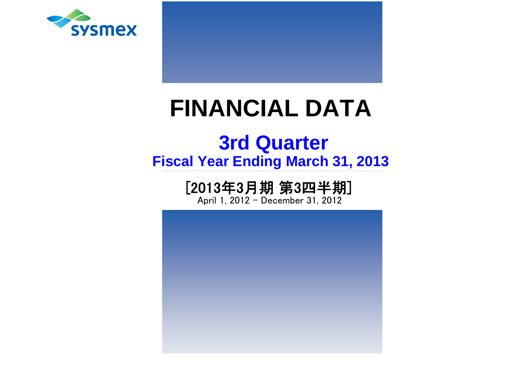

# **FINANCIAL DATA**

# **Fiscal Year Ending March 31, 2013 3rd Quarter**

# [2013年3月期 第3四半期]

April 1, 2012 - December 31, 2012

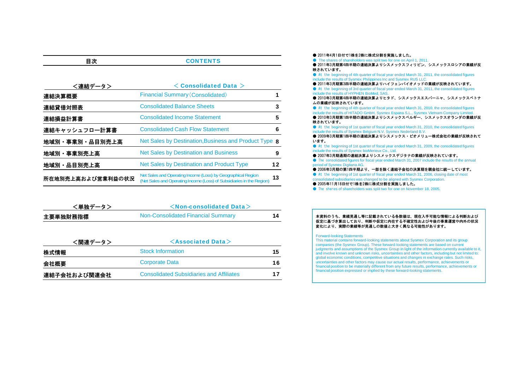| ▫                 |                                                                                                                                       |    |
|-------------------|---------------------------------------------------------------------------------------------------------------------------------------|----|
|                   |                                                                                                                                       |    |
| <連結データ>           | $<$ Consolidated Data $>$                                                                                                             |    |
| 連結決算概要            | <b>Financial Summary (Consolidated)</b>                                                                                               |    |
| 連結貸借対照表           | <b>Consolidated Balance Sheets</b>                                                                                                    | 3  |
| 連結損益計算書           | <b>Consolidated Income Statement</b>                                                                                                  | 5  |
| 連結キャッシュフロ一計算書     | <b>Consolidated Cash Flow Statement</b>                                                                                               | 6  |
| 地域別・事業別・品目別売上高    | Net Sales by Destination, Business and Product Type <b>8</b>                                                                          |    |
| 地域別・事業別売上高        | <b>Net Sales by Destination and Business</b>                                                                                          | 9  |
| 地域別·品目別売上高        | Net Sales by Destination and Product Type                                                                                             | 12 |
| 所在地別売上高および営業利益の状況 | Net Sales and Operating Income (Loss) by Geographical Region<br>(Net Sales and Operating Income (Loss) of Subsidiaries in the Region) | 13 |

**CONTENTS** 

目次

| <単独データ>  | $\le$ Non-consolidated Data $>$    |    |
|----------|------------------------------------|----|
| 主要単独財務指標 | Non-Consolidated Financial Summary | 14 |

| <関連データ>      | $\leq$ Associated Data $>$                      |     |  |  |  |  |  |  |
|--------------|-------------------------------------------------|-----|--|--|--|--|--|--|
| 株式情報         | <b>Stock Information</b>                        | 15. |  |  |  |  |  |  |
| 会社概要         | <b>Corporate Data</b>                           | 16  |  |  |  |  |  |  |
| 連結子会社および関連会社 | <b>Consolidated Subsidiaries and Affiliates</b> | 17  |  |  |  |  |  |  |

● 2011年4月1日付で1株を2株に株式分割を実施しました。 ● The shares of shareholders was split two for one on April 1, 2011. ● 2011年3月期第4四半期の連結決算よりシスメックスフィリピン、シスメックスロシアの業績が反 映されています。● At the beginning of 4th quarter of fiscal year ended March 31, 2011, the consolidated figures include the results of Sysmex Philippines Inc and Sysmex RUS LLC. ● 2011年3月期第3四半期の連結決算よりハイフェンバイオメッドの業績が反映されています。 ● At the beginning of 3rd quarter of fiscal year ended March 31, 2011, the consolidated figures include the results of HYPHEN BioMed, SAS. ● 2010年3月期第4四半期の連結決算よりヒタド、シスメックスエスパーニャ、シスメックスベトナ ムの業績が反映されています。● At the beginning of 4th quarter of fiscal year ended March 31, 2010, the consolidated figures include the results of HITADO GmbH, Sysmex Espana S.L., Sysmex Vietnam Company Limited. ● 2010年3月期第1四半期の連結決算よりシスメックスベルギー、シスメックスオランダの業績が反 映されています。● At the beginning of 1st quarter of fiscal year ended March 31, 2010, the consolidated figures include the results of Sysmex Belgium N.V, Sysmex Nederland B.V. ● 2009年3月期第1四半期の連結決算よりシスメックス・ビオメリュー株式会社の業績が反映されて います。● At the beginning of 1st quarter of fiscal year ended March 31, 2009, the consolidated figures include the results of Sysmex bioMerieux Co., Ltd. ● 2007年3月期通期の連結決算よりシスメックスデジタナの業績が反映されています。 ● The consolidated figures for fiscal year ended March 31, 2007 include the results of the annual period of Sysmex Digitana AG. ● 2006年3月期の第1四半期より、一部を除く連結子会社の決算期を親会社に統一しています。 2006年3月期の第1四半期より、 部を除く連結子会社の決算期を親会社に統 しています。● At the beginning of 1st quarter of fiscal year ended March 31, 2006, closing date of most consolidated subsidiaries was changed to be aligned with Sysmex Corporation. ● 2005年11月18日付で1株を2株に株式分割を実施しました。 ● The shares of shareholders was split two for one on November 18, 2005.

#### 本資料のうち、業績見通し等に記載されている各数値は、現在入手可能な情報による判断および 仮定に基づき算出しており、判断や仮定に内在する不確定性および今後の事業運営や内外の状況 変化により、実際の業績等が見通しの数値と大きく異なる可能性があります。

#### Forward-looking Statements

This material contains forward-looking statements about Sysmex Corporation and its group companies (the Sysmex Group). These forward-looking statements are based on current judgments and assumptions of the Sysmex Group in light of the information currently available to it, and involve known and unknown risks, uncertainties and other factors, including but not limited to: global economic conditions, competitive situations and changes in exchange rates. Such risks, uncertainties and other factors may cause our actual results, performance, achievements or financial position to be materially different from any future results, performance, achievements or financial position expressed or implied by these forward-looking statements.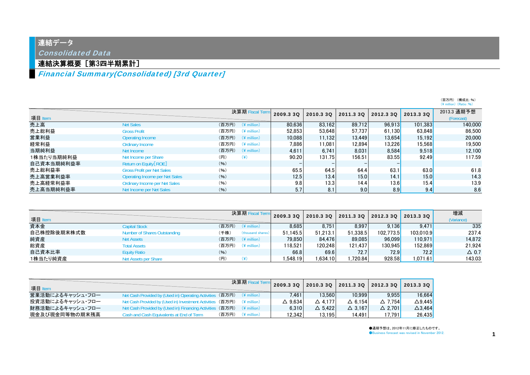# 連結データ

Consolidated Data

## 連結決算概要[第3四半期累計]

## Financial Summary(Consolidated) [3rd Quarter]

|            |                                      |                                  |           |           |           |           |                  | $(Y \text{ million})$ (Ratio: %) |
|------------|--------------------------------------|----------------------------------|-----------|-----------|-----------|-----------|------------------|----------------------------------|
| 項目 Item    |                                      | 決算期 Fiscal Term                  | 2009.3 3Q | 2010.3 30 | 2011.3 3Q | 2012.3 30 | 2013.3 3Q        | 2013.3 通期予想<br>(Forecast)        |
| 売上高        | <b>Net Sales</b>                     | (百万円)<br>$(4$ million)           | 80.636    | 83.162    | 89.712    | 96.913    | 101,383          | 140,000                          |
| 売上総利益      | <b>Gross Profit</b>                  | (百万円)<br>$(4$ million)           | 52.853    | 53.648    | 57.737    | 61.130    | 63.848           | 86,500                           |
| 営業利益       | Operating Income                     | (百万円)<br>$(*$ million)           | 10.088    | 11.132    | 13.449    | 13.654    | 15.192           | 20,000                           |
| 経常利益       | Ordinary Income                      | (百万円)<br>$(4$ million)           | 7,886     | 11.081    | 12,894    | 13.226    | 15,568           | 19,500                           |
| 当期純利益      | Net Income                           | (百万円)<br>$(\frac{2}{3})$ million | 4.611     | 6.741     | 8.031     | 8.584     | 9.518            | 12,100                           |
| 1株当たり当期純利益 | Net Income per Share                 | (円)<br>$(\c{4})$                 | 90.20     | 131.75    | 156.51    | 83.55     | 92.49            | 117.59                           |
| 自己資本当期純利益率 | Return on Equity [ROE]               | (96)                             |           |           |           |           |                  |                                  |
| 売上総利益率     | <b>Gross Profit per Net Sales</b>    | (96)                             | 65.5      | 64.5      | 64.4      | 63.1      | 63.0             | 61.8                             |
| 売上高営業利益率   | Operating Income per Net Sales       | (96)                             | 12.5      | 13.4      | 15.0      | 14.1      | 15.0             | 14.3                             |
| 売上高経常利益率   | <b>Ordinary Income per Net Sales</b> | (96)                             | 9.8       | 13.3      | 14.4      | 13.6      | 15.4             | 13.9                             |
| 売上高当期純利益率  | Net Income per Net Sales             | (96)                             | 5.7       | 8.1       | 9.0       | 8.9       | 9.4 <sub>1</sub> | 8.6                              |

| 項目 Item     |                              |       | 決算期 Fiscal Term         | 2009.3 30 | 2010.3 3Q | 2011.3 3Q | 2012.3 30 | 2013.3 30 | 増減<br>(Variance) |
|-------------|------------------------------|-------|-------------------------|-----------|-----------|-----------|-----------|-----------|------------------|
| 資本金         | <b>Capital Stock</b>         | (百万円) | $(*$ million)           | 8.685     | 8.751     | 8.997     | 9.136     | 9.471     | 335              |
| 自己株控除後期末株式数 | Number of Shares Outstanding | (千株)  | (thousand shares)       | 51.145.5  | 51.213.1  | 51.338.5  | 102.773.5 | 103.010.9 | 237.4            |
| 純資産         | <b>Net Assets</b>            | (百万円) | $(\frac{2}{3})$ million | 79.850    | 84.476    | 89.085    | 96.099    | 110.971   | 14.872           |
| 総資産         | <b>Total Assets</b>          | (百万円) | $(4$ million)           | 118.521   | 120.248   | 121.437   | 130.9451  | 152.869   | 21.924           |
| 自己資本比率      | <b>Equity Ratio</b>          | (96)  |                         | 66.8      | 69.6      | 72.7      | 72.9      | 72.2      | $\triangle$ 0.7  |
| 1株当たり純資産    | Net Assets per Share         | (円)   |                         | .548.19   | .634.10   | .720.84   | 928.58    | 1,071.61  | 143.03           |

|                  |                                                            | 決算期 Fisc                | 2009.3 3Q         | $\mid$ 2010.3 3Q $\mid$ 2011.3 3Q $\mid$ 2012.3 3Q |                   |                   | 2013.3 3Q         |
|------------------|------------------------------------------------------------|-------------------------|-------------------|----------------------------------------------------|-------------------|-------------------|-------------------|
| 項目 Item          |                                                            |                         |                   |                                                    |                   |                   |                   |
| 営業活動によるキャッシュ・フロー | Net Cash Provided by (Used in) Operating Activities        | ;(百万円) (\ million)      | 7.461             | 13.560                                             | 10.999            | 9.955             | 16.664            |
| 投資活動によるキャッシュ・フロー | Net Cash Provided by (Used in) Investment Activities (百万円) | $(\frac{1}{2})$ million | $\triangle$ 9.634 | $\triangle$ 4.177                                  | $\triangle$ 6.154 | $\triangle$ 7.754 | $\triangle$ 9.445 |
| 財務活動によるキャッシュ・フロー | Net Cash Provided by (Used in) Financing Activities        | (百万円) (¥ million)       | 6.310             | $\triangle$ 5.422                                  | $\triangle$ 3.167 | $\triangle$ 2.701 | $\triangle$ 3.464 |
| 現金及び現金同等物の期末残高   | Cash and Cash Equivalents at End of Term                   | (百万円)<br>$(*)$ million) | 12.342            | 13.195                                             | 14.491            | 17.791            | 26.435            |

●通期予想は、2012年11月に修正したものです。 ●Business forecast was revised in November 2012.

(百万円) (構成比:%)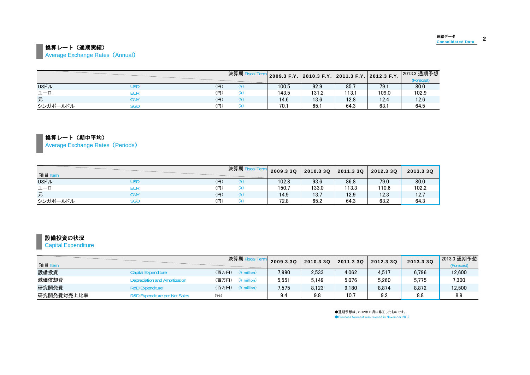# ■ 換算レート (通期実績)

**Average Exchange Rates (Annual)** 

|              |     |     | 決算期 Fisc |       | 2009.3 F.Y. 2010.3 F.Y. 2011.3 F.Y. 2012.3 F.Y. |       |       | 2013.3 通期予想<br>(Forecast) |
|--------------|-----|-----|----------|-------|-------------------------------------------------|-------|-------|---------------------------|
| <b>USFJL</b> | USD | (円) |          | 100.5 | 92.9                                            | 85.7  | 79.1  | 80.0                      |
| ユーロ          | EUR | (円) | ω١       | 143.5 | 131.2                                           | 113.1 | 109.0 | 102.9                     |
| 元            | CNY | (円) |          | 14.6  | 13.6                                            | 12.8  | 12.4  | 12.6                      |
| シンガポールドル     | SGD | (円) | د د ۱    | 70.1  | 65.1                                            | 64.3  | 63.   | 64.5                      |

換算レート(期中平均)

Average Exchange Rates (Periods)

| 項目 Item      |     |     | 決算期 Fiscal Te | 2009.3 3Q | 2010.3 3Q | 2011.3 3Q | 2012.3 3Q | 2013.3 3Q |
|--------------|-----|-----|---------------|-----------|-----------|-----------|-----------|-----------|
| <b>USFIL</b> | USD | (円) |               | 102.8     | 93.6      | 86.8      | 79.0      | 80.0      |
| ユーロ          | EUR | (円) | '¥`           | 150.7     | 133.0     | 113.3     | 110.6     | 102.2     |
| 元            | CNY | (円) | '¥`           | 14.9      | 13.7      | 12.9      | 12.3      | 12.7      |
| シンガポールドル     | SGD | (円) |               | 72.8      | 65.2      | 64.3      | 63.2      | 64.3      |

## ■設備投資の状況

**Capital Expenditure** 

| 項目 Item    |                                          | 決算期 Fiscal Te                    | 2009.3 3Q | 2010.3 3Q | 2011.3 30 | 2012.3 30 | 2013.3 3Q | 2013.3 通期予想<br>(Forecast) |
|------------|------------------------------------------|----------------------------------|-----------|-----------|-----------|-----------|-----------|---------------------------|
| 設備投資       | <b>Capital Expenditure</b>               | (百万円)<br>$(*)$ million           | 7.990     | 2,533     | 4.062     | 4.517     | 6.796     | 12,600                    |
| 減価償却費      | <b>Depreciation and Amortization</b>     | (百万円)<br>$(*)$ million)          | 5,551     | 5.149     | 5.076     | 5.260     | 5.775     | 7,300                     |
| 研究開発費      | <b>R&amp;D Expenditure</b>               | (百万円)<br>$(\frac{2}{3})$ million | 7.575     | 8.123     | 9.180     | 8.874     | 8.872     | 12.500                    |
| 研究開発費対売上比率 | <b>R&amp;D Expenditure per Net Sales</b> | (96)                             | 9.4       | 9.8       | 10.7      | 9.2       | 8.8       | 8.9                       |

●通期予想は、2012年11月に修正したものです。 ●Business forecast was revised in November 2012.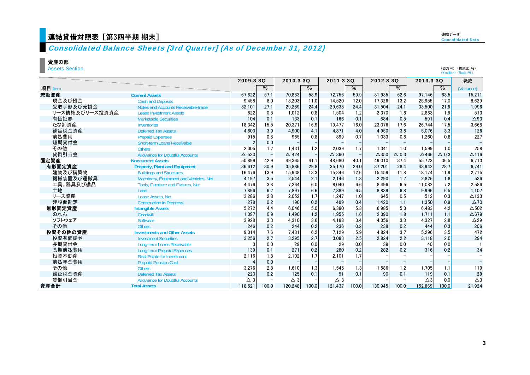# 連結貸借対照表 [第3四半期 期末]

連結データ**Consolidated Data** 

### Consolidated Balance Sheets [3rd Quarter] (As of December 31, 2012)

#### 資産の部

Assets Section

|                |                                        | 2009.3 30       |       | 2010.3 30       |       | 2011.3 30       |       | 2012.3 30       |                 | 2013.3 3Q     |                 | 増減              |
|----------------|----------------------------------------|-----------------|-------|-----------------|-------|-----------------|-------|-----------------|-----------------|---------------|-----------------|-----------------|
| 項目 Item        |                                        |                 | $\%$  |                 | $\%$  |                 | $\%$  |                 | %               |               | $\%$            | (Variance)      |
| 流動資産           | <b>Current Assets</b>                  | 67.622          | 57.1  | 70.883          | 58.9  | 72.756          | 59.9  | 81.935          | 62.6            | 97.146        | 63.5            | 15,211          |
| 現金及び預金         | <b>Cash and Deposits</b>               | 9.458           | 8.0   | 13.203          | 11.0  | 14.520          | 12.0  | 17.326          | 13.2            | 25.955        | 17.0            | 8.629           |
| 受取手形及び売掛金      | Notes and Accounts Receivable-trade    | 32.101          | 27.1  | 29.289          | 24.4  | 29.638          | 24.4  | 31.504          | 24.1            | 33.500        | 21.9            | 1,996           |
| リース債権及びリース投資資産 | <b>Lease Investment Assets</b>         | 622             | 0.5   | 1.012           | 0.8   | 1.504           | 1.2   | 2.370           | 1.8             | 2.883         | 1.9             | 513             |
| 有価証券           | <b>Marketable Securities</b>           | 104             | 0.1   | 133             | 0.1   | 166             | 0.1   | 684             | 0.5             | 591           | 0.4             | $\triangle$ 93  |
| たな卸資産          | <b>Inventories</b>                     | 18,342          | 15.5  | 20.371          | 16.9  | 19.477          | 16.0  | 23.076          | 17.6            | 26,744        | 17.5            | 3.668           |
| 繰延税金資産         | <b>Deferred Tax Assets</b>             | 4,600           | 3.9   | 4.900           | 4.1   | 4.871           | 4.0   | 4.950           | 3.8             | 5.076         | 3.3             | 126             |
| 前払費用           | <b>Prepaid Expenses</b>                | 915             | 0.8   | 965             | 0.8   | 899             | 0.7   | 1.033           | 0.8             | 1.260         | 0.8             | 227             |
| 短期貸付金          | <b>Short-term Loans Receivable</b>     | 2               | 0.0   |                 |       |                 |       |                 |                 |               |                 |                 |
| その他            | <b>Others</b>                          | 2.005           | 1.7   | 1.431           | 1.2   | 2.039           | 1.7   | 1.341           | 1.0             | 1.599         | 1.0             | 258             |
| 貸倒引当金          | <b>Allowance for Doubtful Accounts</b> | $\triangle$ 530 |       | $\triangle$ 424 |       | $\triangle$ 360 |       | $\triangle$ 350 | $\triangle$ 0.3 | $\Delta$ 466  | $\triangle$ 0.3 | $\Delta$ 116    |
| 固定資産           | <b>Noncurrent Assets</b>               | 50,899          | 42.9  | 49,365          | 41.1  | 48,680          | 40.1  | 49,010          | 37.4            | 55,723        | 36.5            | 6.713           |
| 有形固定資産         | <b>Property, Plant and Equipment</b>   | 36,612          | 30.9  | 35.886          | 29.8  | 35.170          | 29.0  | 37.201          | 28.4            | 43.942        | 28.7            | 6.741           |
| 建物及び構築物        | <b>Buildings and Structures</b>        | 16,476          | 13.9  | 15,938          | 13.3  | 15,346          | 12.6  | 15,459          | 11.8            | 18,174        | 11.9            | 2,715           |
| 機械装置及び運搬具      | Machinery, Equipment and Vehicles, Net | 4,197           | 3.5   | 2.544           | 2.1   | 2,146           | 1.8   | 2.290           | 1.7             | 2,826         | 1.8             | 536             |
| 工具、器具及び備品      | Tools, Furniture and Fixtures, Net     | 4,476           | 3.8   | 7.264           | 6.0   | 8.040           | 6.6   | 8.496           | 6.5             | 11.082        | 7.2             | 2,586           |
| 土地             | Land                                   | 7,896           | 6.7   | 7.897           | 6.6   | 7,889           | 6.5   | 8,889           | 6.8             | 9,996         | 6.5             | 1,107           |
| リース資産          | Lease Assets, Net                      | 3,286           | 2.8   | 2,052           | 1.7   | 1,247           | 1.0   | 645             | 0.5             | 512           | 0.3             | $\Delta$ 133    |
| 建設仮勘定          | <b>Construction in Progress</b>        | 278             | 0.2   | 190             | 0.2   | 499             | 0.4   | 1,420           | 1.1             | 1,350         | 0.9             | $\triangle$ 70  |
| 無形固定資産         | <b>Intangible Assets</b>               | 5,272           | 4.4   | 6.046           | 5.0   | 6.380           | 5.3   | 6.985           | 5.3             | 6.483         | 4.2             | $\triangle$ 502 |
| のれん            | Goodwill                               | 1,097           | 0.9   | 1.490           | 1.2   | 1.955           | 1.6   | 2.390           | 1.8             | 1.711         | 1.1             | $\triangle$ 679 |
| ソフトウェア         | <b>Software</b>                        | 3,928           | 3.3   | 4.310           | 3.6   | 4.188           | 3.4   | 4,356           | 3.3             | 4,327         | 2.8             | $\triangle$ 29  |
| その他            | <b>Others</b>                          | 246             | 0.2   | 244             | 0.2   | 236             | 0.2   | 238             | 0.2             | 444           | 0.3             | 206             |
| 投資その他の資産       | <b>Investments and Other Assets</b>    | 9,014           | 7.6   | 7.431           | 6.2   | 7.129           | 5.9   | 4.824           | 3.7             | 5,296         | 3.5             | 472             |
| 投資有価証券         | <b>Investment Securities</b>           | 3,256           | 2.7   | 3.295           | 2.7   | 3.083           | 2.5   | 2,824           | 2.2             | 3.118         | 2.0             | 294             |
| 長期貸付金          | Long-term Loans Receivable             | 3               | 0.0   | 29              | 0.0   | 29              | 0.0   | 39              | 0.0             | 40            | 0.0             |                 |
| 長期前払費用         | <b>Long-term Prepaid Expenses</b>      | 139             | 0.1   | 271             | 0.2   | 280             | 0.2   | 282             | 0.2             | 316           | 0.2             | 34              |
| 投資不動産          | <b>Real Estate for Investment</b>      | 2,116           | 1.8   | 2.102           | 1.7   | 2.101           | 1.7   |                 |                 |               |                 |                 |
| 前払年金費用         | <b>Prepaid Pension Cost</b>            |                 | 0.0   |                 |       |                 |       |                 |                 |               |                 |                 |
| その他            | <b>Others</b>                          | 3,276           | 2.8   | 1.610           | 1.3   | 1.545           | 1.3   | 1.586           | 1.2             | 1.705         | 1.1             | 119             |
| 繰延税金資産         | <b>Deferred Tax Assets</b>             | 220             | 0.2   | 125             | 0.1   | 91              | 0.1   | 90              | 0.1             | 119           | 0.1             | 29              |
| 貸倒引当金          | <b>Allowance for Doubtful Accounts</b> | $\triangle$ 3   |       | $\triangle$ 3   |       | $\triangle$ 3   |       |                 |                 | $\triangle 3$ | 0.0             | $\triangle 3$   |
| 資産合計           | <b>Total Assets</b>                    | 118,521         | 100.0 | 120,248         | 100.0 | 121,437         | 100.0 | 130,945         | 100.0           | 152,869       | 100.0           | 21,924          |

(百万円) (構成比:%)

(\ million) (Ratio:%)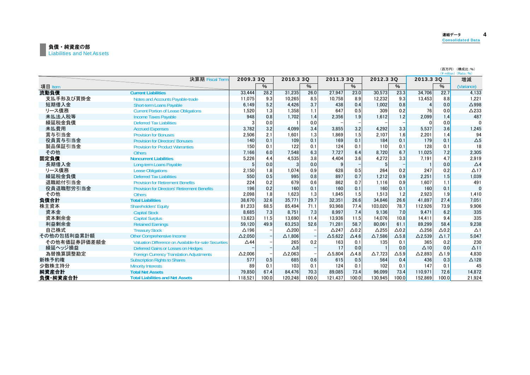#### 負債・純資産の部 Liabilities and Net Assets

|              |                                                       |                |       |                 |       |                 |              |                 |              |                   |                    | (百万円) (構成比:%)<br>(¥ million) (Ratio: %) |
|--------------|-------------------------------------------------------|----------------|-------|-----------------|-------|-----------------|--------------|-----------------|--------------|-------------------|--------------------|-----------------------------------------|
|              | 決算期 Fiscal Term                                       | 2009.3 3Q      |       | 2010.3 30       |       | 2011.3 3Q       |              | 2012.3 30       |              | 2013.3 3Q         |                    | 増減                                      |
| 項目 Item      |                                                       |                | $\%$  |                 | $\%$  |                 | $\%$         |                 | $\%$         |                   | $\%$               | (Variance)                              |
| 流動負債         | <b>Current Liabilities</b>                            | 33.444         | 28.2  | 31.235          | 26.0  | 27.947          | 23.0         | 30.573          | 23.3         | 34.706            | 22.7               | 4.133                                   |
| 支払手形及び買掛金    | Notes and Accounts Payable-trade                      | 11,075         | 9.3   | 10,265          | 8.5   | 10,758          | 8.9          | 12,232          | 9.3          | 13,453            | 8.8                | 1,221                                   |
| 短期借入金        | <b>Short-term Loans Payable</b>                       | 6.149          | 5.2   | 4.426           | 3.7   | 438             | 0.4          | 1,002           | 0.8          |                   | 0.0                | $\Delta$ 998                            |
| リース債務        | <b>Current Portion of Lease Obligations</b>           | 1,520          | 1.3   | 1.358           | 1.1   | 647             | 0.5          | 309             | 0.2          | 76                | 0.0                | $\triangle$ 233                         |
| 未払法人税等       | <b>Income Taxes Pavable</b>                           | 948            | 0.8   | 1.702           | 1.4   | 2.356           | 1.9          | 1.612           | 1.2          | 2.099             | 1.4                | 487                                     |
| 繰延税金負債       | <b>Deferred Tax Liabilities</b>                       |                | 0.0   |                 | 0.0   |                 |              |                 |              |                   | 0.0                | $\Omega$                                |
| 未払費用         | <b>Accrued Expenses</b>                               | 3,782          | 3.2   | 4.099           | 3.4   | 3.855           | 3.2          | 4,292           | 3.3          | 5.537             | 3.6                | 1,245                                   |
| 賞与引当金        | <b>Provision for Bonuses</b>                          | 2,506          | 2.1   | 1.601           | 1.3   | 1.869           | 1.5          | 2,107           | 1.6          | 2,201             | 1.4                | 94                                      |
| 役員賞与引当金      | <b>Provision for Directors' Bonuses</b>               | 140            | 0.1   | 109             | 0.1   | 169             | 0.1          | 184             | 0.1          | 179               | 0.1                | $\Delta 5$                              |
| 製品保証引当金      | <b>Provision for Product Warranties</b>               | 150            | 0.1   | 122             | 0.1   | 124             | 0.1          | 110             | 0.1          | 128               | 0.1                | 18                                      |
| その他          | <b>Others</b>                                         | 7,166          | 6.0   | 7,548           | 6.3   | 7,727           | 6.4          | 8,720           | 6.7          | 11,025            | 7.2                | 2,305                                   |
| 固定負債         | <b>Noncurrent Liabilities</b>                         | 5,226          | 4.4   | 4,535           | 3.8   | 4,404           | 3.6          | 4,272           | 3.3          | 7.191             | 4.7                | 2,919                                   |
| 長期借入金        | Long-term Loans Pavable                               |                | 0.0   |                 | 0.0   | 9               |              | 5               |              |                   | 0.0                | $\Delta$ 4                              |
| リース債務        | <b>Lease Obligations</b>                              | 2,150          | 1.8   | 1.074           | 0.9   | 628             | 0.5          | 264             | 0.2          | 247               | 0.2                | $\Delta$ 17                             |
| 繰延税金負債       | <b>Deferred Tax Liabilities</b>                       | 550            | 0.5   | 995             | 0.8   | 897             | 0.7          | 1.212           | 0.9          | 2,251             | 1.5                | 1.039                                   |
| 退職給付引当金      | <b>Provision for Retirement Benefits</b>              | 224            | 0.2   | 679             | 0.6   | 862             | 0.7          | 1,116           | 0.9          | 1.607             | 1.1                | 491                                     |
| 役員退職慰労引当金    | <b>Provision for Directors' Retirement Benefits</b>   | 196            | 0.2   | 160             | 0.1   | 160             | 0.1          | 160             | 0.1          | 160               | 0.1                | $\Omega$                                |
| その他          | <b>Others</b>                                         | 2,098          | 1.8   | 1.623           | 1.3   | 1.845           | 1.5          | 1,513           | 1.2          | 2.923             | 1.9                | 1,410                                   |
| 負債合計         | <b>Total Liabilities</b>                              | 38.670         | 32.6  | 35,771          | 29.7  | 32.351          | 26.6         | 34,846          | 26.6         | 41,897            | 27.4               | 7.051                                   |
| 株主資本         | <b>Shareholders' Equity</b>                           | 81,233         | 68.5  | 85.494          | 71.1  | 93,968          | 77.4         | 103,020         | 78.7         | 112,926           | 73.9               | 9,906                                   |
| 資本金          | <b>Capital Stock</b>                                  | 8,685          | 7.3   | 8.751           | 7.3   | 8.997           | 7.4          | 9.136           | 7.0          | 9.471             | 6.2                | 335                                     |
| 資本剰余金        | <b>Capital Surplus</b>                                | 13,623         | 11.5  | 13,690          | 11.4  | 13,936          | 11.5         | 14,076          | 10.8         | 14.411            | 9.4                | 335                                     |
| 利益剰余金        | <b>Retained Earnings</b>                              | 59.120         | 49.9  | 63.253          | 52.6  | 71.281          | 58.7         | 80.061          | 61.1         | 89.299            | 58.4               | 9,238                                   |
| 自己株式         | <b>Treasury Stock</b>                                 | $\Delta$ 196   |       | $\triangle$ 200 |       | $\triangle$ 247 | $\Delta$ 0.2 | $\triangle$ 255 | $\Delta$ 0.2 | $\Delta$ 256      | $\Delta$ 0.2       | $\Delta$ 1                              |
| その他の包括利益累計額  | <b>Other Comprehensive Income</b>                     | $\Delta$ 2,050 |       | $\Delta$ 1,806  |       | $\Delta$ 5,622  | $\Delta$ 4.6 | $\Delta$ 7,586  | $\Delta$ 5.8 | $\Delta$ 2,539    | $\Delta$ 1.7       | 5,047                                   |
| その他有価証券評価差額金 | Valuation Difference on Available-for-sale Securities | $\triangle$ 44 |       | 265             | 0.2   | 163             | 0.1          | 135             | 0.1          | 365               | 0.2                | 230                                     |
| 繰延ヘッジ損益      | Deferred Gains or Losses on Hedges                    |                |       | $\triangle 8$   |       | 17              | 0.0          |                 | 0.0          | $\Delta$ 10       | 0.0                | $\Delta$ 11                             |
| 為替換算調整勘定     | <b>Foreign Currency Translation Adjustments</b>       | $\Delta$ 2.006 |       | $\Delta$ 2.063  |       | $\Delta$ 5,804  | $\Delta$ 4.8 | $\Delta$ 7,723  | $\Delta$ 5.9 | $\triangle$ 2.893 | $\Delta$ 1.9       | 4.830                                   |
| 新株予約権        | <b>Subscription Rights to Shares</b>                  | 577            | 0.5   | 685             | 0.6   | 615             | 0.5          | 564             | 0.4          | 436               | 0.3                | $\Delta$ 128                            |
| 少数株主持分       | <b>Minority Interests</b>                             | 89             | 0.1   | 103             | 0.1   | 124             | 0.1          | 102             | 0.1          | 147               | 0.1                | 45                                      |
| 純資産合計        | <b>Total Net Assets</b>                               | 79,850         | 67.4  | 84,476          | 70.3  | 89,085          | 73.4         | 96,099          | 73.4         | 110,971           | 72.6               | 14,872                                  |
| 負債·純資産合計     | <b>Total Liabilities and Net Assets</b>               | 118.521        | 100.0 | 120.248         | 100.0 | 121.437         | 100.0        | 130.945         | 100.0        | 152.869           | 100.0 <sup>1</sup> | 21.924                                  |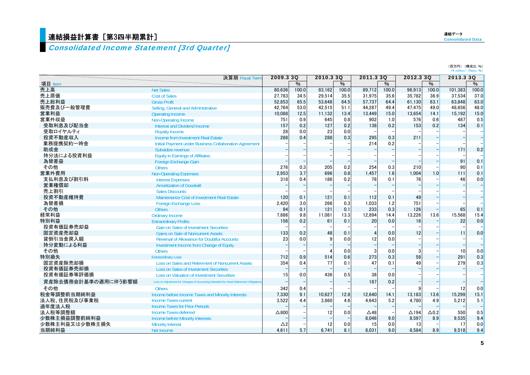# <mark>連結損益計算書[第3四半期累計]</mark>

# Consolidated Income Statement [3rd Quarter]

| (百万円) (構成比:%)                                |
|----------------------------------------------|
| $(\frac{2}{3})$ million $(\text{Ratio}: 96)$ |

|                     | 決算期 Fiscal Term                                                                        | 2009.3 3Q       |       | 2010.3 3Q |               | 2011.3 3Q      |       | 2012.3 3Q       |               | 2013.3 3Q |                          |
|---------------------|----------------------------------------------------------------------------------------|-----------------|-------|-----------|---------------|----------------|-------|-----------------|---------------|-----------|--------------------------|
| 項目 Item             |                                                                                        |                 | $\%$  |           | $\frac{0}{6}$ |                | $\%$  |                 | $\frac{0}{6}$ |           | $\%$                     |
| 売上高                 | <b>Net Sales</b>                                                                       | 80.636          | 100.0 | 83.162    | 100.0         | 89.712         | 100.0 | 96.913          | 100.0         | 101.383   | 100.0                    |
| 売上原価                | <b>Cost of Sales</b>                                                                   | 27,783          | 34.5  | 29,514    | 35.5          | 31,975         | 35.6  | 35,782          | 36.9          | 37,534    | 37.0                     |
| 売上総利益               | <b>Gross Profit</b>                                                                    | 52.853          | 65.5  | 53.648    | 64.5          | 57.737         | 64.4  | 61,130          | 63.1          | 63.848    | 63.0                     |
| 販売費及び一般管理費          | Selling, General and Administrative                                                    | 42.764          | 53.0  | 42.515    | 51.1          | 44.287         | 49.4  | 47.475          | 49.0          | 48.656    | 48.0                     |
| 営業利益                | Operating Income                                                                       | 10.088          | 12.5  | 11.132    | 13.4          | 13.449         | 15.0  | 13.654          | 14.1          | 15.192    | 15.0                     |
| 営業外収益               | <b>Non-Operating Income</b>                                                            | 751             | 0.9   | 645       | 0.8           | 902            | 1.0   | 576             | 0.6           | 487       | 0.5                      |
| 受取利息及び配当金           | <b>Interest and Dividend Income</b>                                                    | 157             | 0.2   | 127       | 0.2           | 138            | 0.2   | 153             | 0.2           | 134       | 0.1                      |
| 受取ロイヤルティ            | <b>Royalty Income</b>                                                                  | 28              | 0.0   | 23        | 0.0           |                |       |                 |               |           |                          |
| 投資不動産収入             | Income from Investment Real Estate                                                     | 288             | 0.4   | 288       | 0.3           | 295            | 0.3   | 211             |               |           |                          |
| 業務提携契約一時金           | Initial Payment under Business Collaboration Agreement                                 |                 |       |           |               | 214            | 0.2   |                 |               |           |                          |
| 助成金                 | Subsidize revenue                                                                      |                 |       |           |               |                |       |                 |               | 171       | 0.2                      |
| 持分法による投資利益          | <b>Equity in Earnings of Affiliates</b>                                                |                 |       |           |               |                |       |                 |               |           |                          |
| 為替差益                | Foreign Exchange Gain                                                                  |                 |       |           |               |                |       |                 |               | 91        | 0.1                      |
| その他                 | <b>Others</b>                                                                          | 276             | 0.3   | 205       | 0.2           | 254            | 0.3   | 210             |               | 90        | 0.1                      |
| 営業外費用               | <b>Non-Operating Expenses</b>                                                          | 2,953           | 3.7   | 696       | 0.8           | 1.457          | 1.6   | 1.004           | 1.0           | 111       | 0.1                      |
| 支払利息及び割引料           | <b>Interest Expenses</b>                                                               | 318             | 0.4   | 186       | 0.2           | 78             | 0.1   | 76              |               | 46        | 0.0                      |
| 営業権償却               | <b>Amortization of Goodwill</b>                                                        |                 |       |           |               |                |       |                 |               |           | $\overline{\phantom{a}}$ |
| 売上割引                | <b>Sales Discounts</b>                                                                 |                 |       |           |               |                |       |                 |               |           |                          |
| 投資不動産維持費            | Maintenance Cost of Investment Real Estate                                             | 120             | 0.1   | 121       | 0.1           | 112            | 0.1   | 49              |               |           | $\overline{\phantom{0}}$ |
| 為替差損                | <b>Foreign Exchange Loss</b>                                                           | 2,420           | 3.0   | 266       | 0.3           | 1,033          | 1.2   | 751             |               |           |                          |
| その他                 | <b>Others</b>                                                                          | 94              | 0.1   | 121       | 0.1           | 233            | 0.3   | 126             |               | 65        | 0.1                      |
| 経常利益                | <b>Ordinary Income</b>                                                                 | 7.886           | 9.8   | 11,081    | 13.3          | 12,894         | 14.4  | 13,226          | 13.6          | 15,568    | 15.4                     |
| 特別利益                | <b>Extraordinary Profits</b>                                                           | 156             | 0.2   | 61        | 0.1           | 20             | 0.0   | 16              |               | 22        | 0.0                      |
| 投資有価証券売却益           | <b>Gain on Sales of Investment Securities</b>                                          |                 |       |           |               |                |       |                 |               |           |                          |
| 固定資産売却益             | <b>Gains on Sale of Noncurrent Assets</b>                                              | 133             | 0.2   | 48        | 0.1           | $\overline{4}$ | 0.0   | 12              |               | 11        | 0.0                      |
| 貸倒引当金戻入額            | <b>Reversal of Allowance for Doubtful Accounts</b>                                     | 23              | 0.0   | 9         | 0.0           | 12             | 0.0   |                 |               |           |                          |
| 持分変動による利益           | Investment Income from Change of Equity                                                |                 |       |           |               |                |       |                 |               |           | $\overline{a}$           |
| その他                 | <b>Others</b>                                                                          |                 |       |           | 0.0           | 3              | 0.0   |                 |               | 10        | 0.0                      |
| 特別損失                | <b>Extraordinary Loss</b>                                                              | 712             | 0.9   | 514       | 0.6           | 273            | 0.3   | 58              |               | 291       | 0.3                      |
| 固定資産除売却損            | Loss on Sales and Retirement of Noncurrent Assets                                      | 354             | 0.4   | 77        | 0.1           | 47             | 0.1   | 49              |               | 279       | 0.3                      |
| 投資有価証券売却損           | <b>Loss on Sales of Investment Securities</b>                                          |                 |       |           |               |                |       |                 |               |           | $\overline{\phantom{a}}$ |
| 投資有価証券等評価損          | <b>Loss on Valuation of Investment Securities</b>                                      | 15              | 0.0   | 436       | 0.5           | 38             | 0.0   |                 |               |           |                          |
| 資産除去債務会計基準の適用に伴う影響額 | Loss on Adjustment for Changes of Accounting Standard for Asset Retirement Obligations |                 |       |           |               | 187            | 0.2   |                 |               |           | $\frac{1}{\sqrt{2}}$     |
| その他                 | <b>Others</b>                                                                          | 342             | 0.4   |           |               |                |       |                 |               | 12        | 0.0                      |
| 税金等調整前当期純利益         | Income before Income Taxes and Minority Interests                                      | 7.330           | 9.1   | 10.627    | 12.8          | 12.640         | 14.1  | 13.183          | 13.6          | 15.299    | 15.1                     |
| 法人税、住民税及び事業税        | <b>Income Taxes-current</b>                                                            | 3.522           | 4.4   | 3,860     | 4.6           | 4.643          | 5.2   | 4.780           | 4.9           | 5,212     | 5.1                      |
| 過年度法人税              | <b>Income Taxes for Prior Periods</b>                                                  |                 |       |           |               |                |       |                 |               |           | ۳                        |
| 法人税等調整額             | <b>Income Taxes-deferred</b>                                                           | $\triangle 800$ |       | 12        | 0.0           | $\Delta$ 48    |       | $\triangle$ 194 | $\Delta$ 0.2  | 550       | 0.5                      |
| 少数株主損益調整前純利益        | <b>Income before Minority Interests</b>                                                |                 |       |           |               | 8.046          | 9.0   | 8,597           | 8.9           | 9,535     | 9.4                      |
| 少数株主利益又は少数株主損失      | <b>Minority Interest</b>                                                               | Δ2              |       | 12        | 0.0           | 15             | 0.0   | 13              |               | 17        | 0.0                      |
| 当期純利益               | Net Income                                                                             | 4.611           | 5.7   | 6.741     | 8.1           | 8.031          | 9.0   | 8.584           | 8.9           | 9.518     | 9.4                      |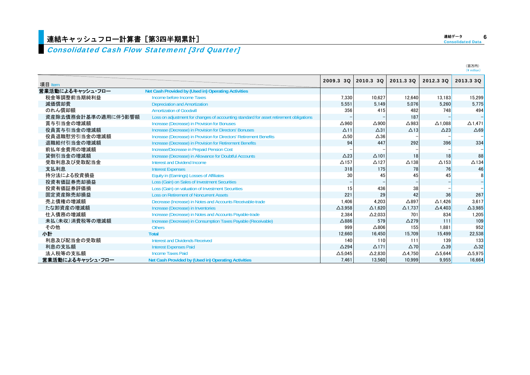### Consolidated Cash Flow Statement [3rd Quarter]

| 項目 Item             |                                                                                        | 2009.3 30       | 2010.3 30       | 2011.3 30       | 2012.3 30         | 2013.3 30       |
|---------------------|----------------------------------------------------------------------------------------|-----------------|-----------------|-----------------|-------------------|-----------------|
| 営業活動によるキャッシュ・フロー    | Net Cash Provided by (Used in) Operating Activities                                    |                 |                 |                 |                   |                 |
| 税金等調整前当期純利益         | Income before Income Taxes                                                             | 7,330           | 10,627          | 12,640          | 13.183            | 15,299          |
| 減価償却費               | <b>Depreciation and Amortization</b>                                                   | 5.551           | 5.149           | 5.076           | 5.260             | 5,775           |
| のれん償却額              | <b>Amortization of Goodwill</b>                                                        | 356             | 415             | 482             | 748               | 494             |
| 資産除去債務会計基準の適用に伴う影響額 | Loss on adjustment for changes of accounting standard for asset retirement obligations |                 |                 | 187             |                   |                 |
| 賞与引当金の増減額           | Increase (Decrease) in Provision for Bonuses                                           | $\Delta$ 960    | $\triangle$ 900 | $\Delta$ 983    | $\Delta$ 1.088    | $\Delta$ 1,471  |
| 役員賞与引当金の増減額         | Increase (Decrease) in Provision for Directors' Bonuses                                | $\Delta$ 11     | $\Delta$ 31     | $\triangle$ 13  | $\triangle$ 23    | $\triangle 69$  |
| 役員退職慰労引当金の増減額       | Increase (Decrease) in Provision for Directors' Retirement Benefits                    | $\Delta$ 50     | $\triangle 36$  |                 |                   |                 |
| 退職給付引当金の増減額         | Increase (Decrease) in Provision for Retirement Benefits                               | 94              | 447             | 292             | 396               | 334             |
| 前払年金費用の増減額          | Increase/Decrease in Prepaid Pension Cost                                              |                 |                 |                 |                   |                 |
| 貸倒引当金の増減額           | Increase (Decrease) in Allowance for Doubtful Accounts                                 | $\triangle$ 23  | $\Delta$ 101    | 18              | 18                | 88              |
| 受取利息及び受取配当金         | Interest and Dividend Income                                                           | $\Delta$ 157    | $\Delta$ 127    | $\Delta$ 138    | $\triangle$ 153   | $\triangle$ 134 |
| 支払利息                | <b>Interest Expenses</b>                                                               | 318             | 175             | 78              | 76                | 46              |
| 持分法による投資損益          | Equity in (Earnings) Losses of Affiliates                                              | 30              | 45              | 45              | 45                |                 |
| 投資有価証券売却損益          | Loss (Gain) on Sales of Investment Securities                                          |                 |                 |                 |                   |                 |
| 投資有価証券評価損           | Loss (Gain) on valuation of Investment Securities                                      | 15              | 436             | 38              |                   |                 |
| 固定資産除売却損益           | <b>Loss on Retirement of Noncurrent Assets</b>                                         | 221             | 29              | 42              | 36                | 267             |
| 売上債権の増減額            | Decrease (Increase) in Notes and Accounts Receivable-trade                             | 1.406           | 4.203           | $\triangle$ 897 | $\triangle$ 1.426 | 3.617           |
| たな卸資産の増減額           | Increase (Decrease) in Inventories                                                     | $\Delta$ 3.958  | $\Delta$ 1.620  | $\Delta$ 1.737  | $\triangle$ 4.403 | $\Delta$ 3,985  |
| 仕入債務の増減額            | Increase (Decrease) in Notes and Accounts Payable-trade                                | 2.384           | $\Delta$ 2,033  | 701             | 834               | 1,205           |
| 未払(未収)消費税等の増減額      | Increase (Decrease) in Consumption Taxes Payable (Receivable)                          | $\triangle$ 886 | 579             | $\triangle$ 279 | 111               | 109             |
| その他                 | <b>Others</b>                                                                          | 999             | $\triangle 806$ | 155             | 1.881             | 952             |
| 小計                  | <b>Total</b>                                                                           | 12.660          | 16.450          | 15.709          | 15.499            | 22,538          |
| 利息及び配当金の受取額         | Interest and Dividends Received                                                        | 140             | 110             | 111             | 139               | 133             |
| 利息の支払額              | <b>Interest Expenses Paid</b>                                                          | $\triangle$ 294 | $\Delta$ 171    | $\Delta$ 70     | $\triangle$ 39    | $\triangle$ 32  |
| 法人税等の支払額            | <b>Income Taxes Paid</b>                                                               | $\Delta$ 5,045  | $\Delta$ 2,830  | $\Delta$ 4,750  | $\Delta$ 5,644    | $\Delta$ 5,975  |
| 営業活動によるキャッシュ・フロー    | Net Cash Provided by (Used in) Operating Activities                                    | 7.461           | 13.560          | 10.999          | 9.955             | 16.664          |

(百万円)<br>(¥ million)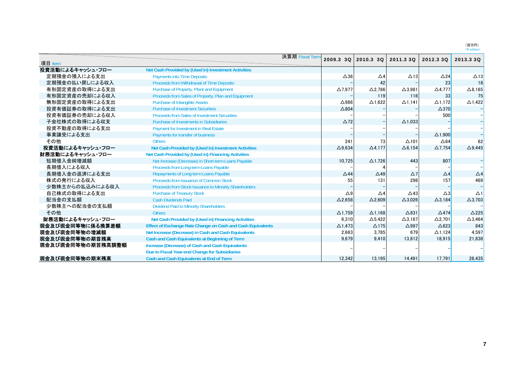(百万円)<br>(¥ million)

|                   |                                                             | 決算期 Fiscal Term<br>2009.3 3Q |                   |                   |                   |                   |
|-------------------|-------------------------------------------------------------|------------------------------|-------------------|-------------------|-------------------|-------------------|
| 項目 Item           |                                                             |                              | 2010.3 3Q         | 2011.3 3Q         | 2012.3 3Q         | 2013.3 3Q         |
| 投資活動によるキャッシュ・フロー  | Net Cash Provided by (Used in) Investment Activities        |                              |                   |                   |                   |                   |
| 定期預金の預入による支出      | <b>Payments into Time Deposits</b>                          | $\Delta$ 36                  | $\triangle 4$     | $\Delta$ 13       | $\triangle$ 24    | $\Delta$ 13       |
| 定期預金の払い戻しによる収入    | Proceeds from Withdrawal of Time Deposits                   |                              | 42                |                   | 23                | 18                |
| 有形固定資産の取得による支出    | Purchase of Property, Plant and Equipment                   | $\Delta$ 7,977               | $\Delta$ 2,786    | $\Delta$ 3,981    | $\Delta$ 4,777    | $\Delta$ 8,165    |
| 有形固定資産の売却による収入    | Proceeds from Sales of Property, Plan and Equipment         |                              | 119               | 116               | 33                | 75                |
| 無形固定資産の取得による支出    | <b>Purchase of Intangible Assets</b>                        | $\Delta$ 986                 | $\Delta$ 1,622    | $\Delta$ 1,141    | $\Delta$ 1.172    | $\triangle$ 1,422 |
| 投資有価証券の取得による支出    | <b>Purchase of Investment Securities</b>                    | $\triangle$ 804              |                   |                   | $\triangle$ 370   |                   |
| 投資有価証券の売却による収入    | <b>Proceeds from Sales of Investment Securities</b>         |                              |                   |                   | 500               |                   |
| 子会社株式の取得による収支     | Purchase of Investments in Subsidiaries                     | $\triangle$ 72               |                   | $\triangle$ 1,033 |                   |                   |
| 投資不動産の取得による支出     | <b>Payment for Investment in Real Estate</b>                |                              |                   |                   |                   |                   |
| 事業譲受による支出         | Payments for transfer of business                           |                              |                   |                   | $\triangle$ 1.900 |                   |
| その他               | <b>Others</b>                                               | 241                          | 73                | $\Delta$ 101      | $\triangle 64$    | 62                |
| 投資活動によるキャッシュ・フロー  | Net Cash Provided by (Used in) Investment Activities        | $\Delta$ 9,634               | $\Delta$ 4,177    | $\Delta$ 6,154    | $\Delta$ 7,754    | $\Delta$ 9,445    |
| 財務活動によるキャッシュ・フロー  | Net Cash Provided by (Used in) Financing Activities         |                              |                   |                   |                   |                   |
| 短期借入金純増減額         | Net Increase (Decrease) in Short-term Loans Payable         | 10.725                       | $\Delta$ 1,726    | 443               | 807               |                   |
| 長期借入による収入         | Proceeds from Long-term Loans Payable                       |                              |                   |                   |                   |                   |
| 長期借入金の返済による支出     | Repayments of Long-term Loans Payable                       | $\triangle$ 44               | $\triangle$ 49    | $\Delta$ 7        | $\Delta$ 4        | $\triangle$ 4     |
| 株式の発行による収入        | Proceeds from Issuance of Common Stock                      | 55                           | 131               | 298               | 157               | 469               |
| 少数株主からの払込みによる収入   | Proceeds from Stock Issuance to Minority Shareholders       |                              |                   |                   |                   |                   |
| 自己株式の取得による支出      | <b>Purchase of Treasury Stock</b>                           | $\triangle$ 9                | $\triangle 4$     | $\triangle$ 43    | $\triangle 3$     | $\Delta$ 1        |
| 配当金の支払額           | <b>Cash Dividends Paid</b>                                  | $\Delta$ 2.658               | $\triangle$ 2.609 | $\Delta$ 3.026    | $\Delta$ 3.184    | $\Delta$ 3,703    |
| 少数株主への配当金の支払額     | <b>Dividend Paid to Minority Shareholders</b>               |                              |                   |                   |                   |                   |
| その他               | <b>Others</b>                                               | $\Delta$ 1.759               | $\Delta$ 1.168    | $\Delta$ 831      | $\triangle$ 474   | $\triangle$ 225   |
| 財務活動によるキャッシュ・フロー  | Net Cash Provided by (Used in) Financing Activities         | 6,310                        | $\Delta$ 5,422    | $\Delta$ 3,167    | $\Delta$ 2,701    | $\Delta$ 3,464    |
| 現金及び現金同等物に係る換算差額  | Effect of Exchange Rate Change on Cash and Cash Equivalents | $\Delta$ 1,473               | $\Delta$ 175      | $\triangle$ 997   | $\triangle$ 623   | 843               |
| 現金及び現金同等物の増減額     | Net Increase (Decrease) in Cash and Cash Equivalents        | 2,663                        | 3,785             | 679               | $\Delta$ 1.124    | 4,597             |
| 現金及び現金同等物の期首残高    | Cash and Cash Equivalents at Beginning of Term              | 9.679                        | 9,410             | 13,812            | 18.915            | 21.838            |
| 現金及び現金同等物の期首残高調整額 | Increase (Decrease) of Cash and Cash Equivalents            |                              |                   |                   |                   |                   |
|                   | Due to Fiscal Year-end Change for Subsidiaries              |                              |                   |                   |                   |                   |
| 現金及び現金同等物の期末残高    | Cash and Cash Equivalents at End of Term                    | 12,342                       | 13,195            | 14,491            | 17,791            | 26,435            |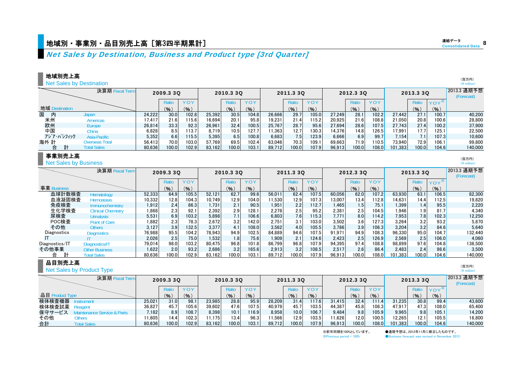## 地域別・事業別・品目別売上高[第3四半期累計]  $\frac{1}{2}$  internal consolidated Data consolidated Data internal consolidated Data inte

**決算期 Fiscal Term** 

**Hematology Hemostasis** 

**Urinalysis** Point of Care**Others** 

Clinical Chemistry

Immunochemistry

Other Business

Total Sales

IT

**Diagnostics** 

## Net Sales by Destination, Business and Product type [3rd Quarter]

#### 地域別売上高

**Net Sales by Destination** 

|                |            | 決算期 Fiscal Term       |        | 2009.3 3Q |                 |        | 2010.3 3Q |       |        | 2011.3 3Q        |       |        | 2012.3 3Q |       |         | 2013.3 3Q         |         | 2013.3 通期予想<br>(Forecast) |
|----------------|------------|-----------------------|--------|-----------|-----------------|--------|-----------|-------|--------|------------------|-------|--------|-----------|-------|---------|-------------------|---------|---------------------------|
|                |            |                       |        | Ratio     |                 |        | Ratic     | YOY   |        | Ratio            | YOY   |        | Ratio     | YOY   |         | Ratio             | $YOY^*$ |                           |
| 地域 Destination |            |                       |        | (% )      | $\mathcal{O}_6$ |        | (9)       | (9)   |        | (9)              | (9)   |        | (% )      | (%)   |         | (9)               | (9)     |                           |
| 国<br>内         |            | Japan                 | 24.222 | 30.0      | 102.8           | 25.392 | 30.5      | 104.8 | 26.666 | 29.7             | 105.0 | 27.249 | 28.1      | 102.2 | 27.442  | 27.1              | 100.71  | 40.200                    |
| 米州<br>欧州       |            | Americas              | 17.417 | 21.6      | 115.6           | 16,694 | 20.1      | 95.8  | 19.231 | 21.4             | 15.2  | 20.925 | 21.6      | 108.8 | 21.050  | 20.8              | 100.6   | 28,800                    |
|                |            | Europe                | 26,814 | 33.3      | 92.3            | 26.961 | 32.4      | 100.5 | 25.767 | 28.7             | 95.6  | 27.694 | 28.6      | 107.5 | 27.743  | 27.4              | 100.2   | 37,900                    |
| 中国             |            | China                 | 6,828  | 8.5       | 113.7           | 8.719  | 10.5      | 127.7 | 1,363  | 12.7             | 130.3 | 14.376 | 14.8      | 126.5 | 7.991   | 17.7 <sub>1</sub> | 125.1   | 22,500                    |
|                | アジア・パシフィック | Asia-Pacific          | 5,352  | 6.6       | 115.5           | 5,395  | 6.5       | 100.8 | 6.683  | 7.5 <sub>1</sub> | 123.9 | 6.666  | 6.9       | 99.   | 7.154   | 7.1               | 107.3   | 10.600                    |
| 海外 計           |            | <b>Overseas Total</b> | 56.413 | 70.0      | 103.0           | 57.769 | 69.5      | 102.4 | 63.046 | 70.3             | 109.1 | 69.663 | 71.9      | 110.5 | 73.940  | 72.9              | 106.1   | 99.800                    |
| 台              | 計          | <b>Total Sales</b>    | 80,636 | 100.0     | 102.9           | 83.162 | 100.0     | 103.1 | 89.712 | 100.0            | 107.9 | 96,913 | 100.0     | 108.0 | 101.383 | 100.0             | 104.6   | 140,000                   |

#### 事業別売上高

血球

事業 Business

POC検査 その他

IT

**Net Sales by Business** 

2013 3 通期予想 2013.32011 3 3Q 2011.3 2010 3 3Q 2012 3 3Q2012.3 2013.3 2013.330 (Forecast) Ratio | YOY | | Ratio | YOY | | Ratio | YOY | | Ratio | YOY | | Ratio Ratio  $\gamma \wedge \gamma^*$ (%) (%) (%) (%) (%) (%) (%) (%) (%) (%) 計数検査 Hematology | 52,333| 64.9| 105.5| 52,121| 62.7| 99.6| 56,011| 62.4| 107.5| 60,056| 62.0| 107.2| 63,930| 63.1| 106.5| 82,300 血液凝固検査 Hemostasis | 10,332 12.8 104.3 10,749 12.9 104.0 11,530 12.9 107.3 13,007 13.4 112.8 14.631 14.4 112.5 19,820 免疫検査 Immunochemistrv | 1,912 2.4 86.3 1,731 2.1 90.5 1,951 2.2 112.7 1,465 1.5 75.1 1,399 1.4 95.5 2.220 生化学検査 Clinical Chemistrv | 1,868 2.3| 92.1| 2,392| 2.9| 128.1| 2,278| 2.5| 95.2| 2,381| 2.5| 104.5| 1,946| 1.9| 81.7| 4,340 尿検査 Urinalvsis 5,531 6.9 103.2 5.898 7.1 106.6 6.803 7.6 115.3 7.771 8.0 114.2 7.953 7.8 102.3 12.250 検査 1,882 2.3 78.3 2,672 3.2 142.0 2,751 3.1 103.0 3,502 3.6 127.3 3,264 3.2 93.2 5,870 他 Others | 3,127| 3.9| 132.5| 3,377| 4.1| 108.0| 3,562| 4.0| 105.5| 3,786| 3.9| 106.3| 3,204| 3.2| 84.6| 5,640 2009.3 3Q

> 76,988 95.5 104.2 78,943 94.9 102.5 84,889 94.6 107.5 91,971 94.9 108.3 96,330 95.0 104.7 132,440 2,026 2.5 75.0 1,532 1.8 75.6 1,909 2.1 124.6 2,423 2.5 126.9 2,569 2.5 106.0 4,060 79,014 98.0 103.2 80,475 96.8 101.8 86,799 96.8 107.9 94,395 97.4 108.8 98,899 97.6 104.8 136,500 1,622 2.0 93.2 2,686 3.2 165.6 2,913 3.2 108.5 2,517 2.6 86.4 2,483 2.4 98.6 3,500 80.636 100.0 102.9 83.162 100.0 103.1 89.712 100.0 107.9 96.913 100.0 108.0 101.383 100.0 104.6 140.000

## 合 計 品目別売上高

Net Sales by Product Type

Diagnostics/IT Diagnostics/IT<br>その他事業 Other Busines

| 決算期 Fiscal Term                      |        | 2009.3 3Q         |            |        | 2010.3 3Q |       |        | 2011.3 3Q         |            |        | 2012.3 3Q |            |         | 2013.3 3Q |         | 2013.3 通期予想<br>(Forecast) |
|--------------------------------------|--------|-------------------|------------|--------|-----------|-------|--------|-------------------|------------|--------|-----------|------------|---------|-----------|---------|---------------------------|
|                                      |        | Ratio             | <b>YOY</b> |        | Ratio     | YOY   |        | Ratio             | <b>YOY</b> |        | Rati      | <b>YOY</b> |         | Ratio     | $YOY^*$ |                           |
| 品目 Product Type                      |        | (%)               | (%)        |        | (9)       | (9)   |        | (%)               | (% )       |        | (9)       | (9)        |         | (9)       | (% )    |                           |
| 検体検査機器<br>strument                   | 25.021 | 31.0 <sub>1</sub> | 98.        | 23.985 | 28.8      | 95.9  | 28.209 |                   | 17.6       | 31.415 | 32.4      | 111.4      | 31.235  | 30.8      | 99.4    | 43.600                    |
| 検体検査試薬<br>Readent                    | 36.827 | 45.7              | 105.6      | 39.602 | 47.6      | 107.5 | 40.979 | 45.7              | 103.5      | 44.387 | 45.8      | 108.3      | 47.917  | 47.3      | 108.0   | 65.400                    |
| 保守サービス<br><b>Service &amp; Parts</b> | 7.182  | 8.9               | 108.7      | 8.398  | 10.1      | 116.9 | 8.958  | 10.0 <sub>1</sub> | 106.7      | 9.484  | 9.8       | 105.9      | 9.965   | 9.8       | 105.1   | 14.200                    |
| その他<br>Others                        | 1.605  | 14.4              | 102.3      | 11.175 | 13.4      | 96.3  | 1.566  | 12.9              | 103.5      | 1.626  | 12.0      | 100.5      | 12.265  | 12.1      | 105.5   | 16.800                    |
| 合計<br><b>Total Sales</b>             | 80.636 | 100.0             | 102.9      | 83.162 | 100.0     | 103.1 | 89.712 | 100.0             | 107.9      | 96.913 | 100.0     | 108.0      | 101.383 | 100.01    | 104.6   | 140,000                   |

※前年同期を100%としています。 ●通期予想は、2012年11月に修正したものです。

 $\%$  Previous period = 100%  $\bullet$  Business forecast was revised in November 2012.

8連結データ

> (百万円)  $(\frac{1}{2})$  million)

(百万円) $(\frac{4}{3})$  million)

(百万円) $(\frac{4}{1})$  million)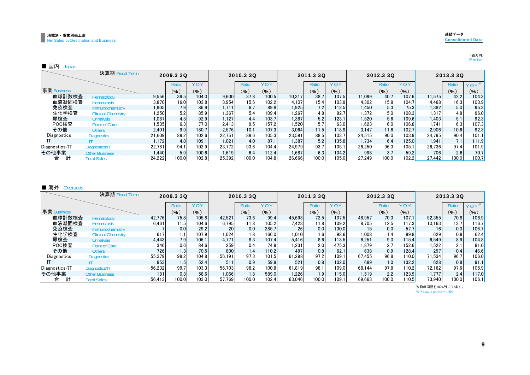## (百万円)<br>(¥ million)

#### ■ 国内 Japan

|                | 決算期 Fiscal Term           |        | 2009.3 3Q         |       |        | 2010.3 3Q |       |        | 2011.3 3Q |       |        | 2012.3 30 |       |        | 2013.3 3Q |         |
|----------------|---------------------------|--------|-------------------|-------|--------|-----------|-------|--------|-----------|-------|--------|-----------|-------|--------|-----------|---------|
|                |                           |        | Ratio             | YOY   |        | Ratio     | YOY   |        | Ratio     | YOY   |        | Ratio     | YOY   |        | Ratio     | $YOY^*$ |
| 事業 Business    |                           |        | (9)               | (%)   |        | (9)       | (9)   |        | (9)       | (% )  |        | (9)       | (9)   |        | (%)       | (%)     |
| 血球計数検査         | Hematology                | 9,556  | 39.5              | 104.0 | 9.600  | 37.8      | 100.5 | 10.317 | 38.7      | 107.5 | 11.099 | 40.7      | 107.6 | 11.575 | 42.2      | 104.3   |
| 血液凝固検査         | <b>Hemostasis</b>         | 3,870  | 16.0 <sub>1</sub> | 103.8 | 3.954  | 15.6      | 102.2 | 4.107  | 15.4      | 103.9 | 4.302  | 15.8      | 104.7 | 4.468  | 16.3      | 103.9   |
| 免疫検査           | Immunochemistry           | 1,905  | 7.9               | 86.9  | 1.711  | 6.7       | 89.8  | 1.925  | 7.2       | 112.5 | 1.450  | 5.3       | 75.3  | 1,382  | 5.0       | 95.3    |
| 生化学検査          | <b>Clinical Chemistry</b> | 1,250  | 5.2               | 85.9  | 1.367  | 5.4       | 109.4 | 1.267  | 4.8       | 92.7  | .372   | 5.0       | 108.3 | 1.317  | 4.8       | 96.0    |
| 尿検査            | <b>Urinalysis</b>         | 1,087  | 4.5               | 92.9  | 1,127  | 4.4       | 103.7 | 1.387  | 5.2       | 123.1 | .520   | 5.6       | 109.6 | 1,403  | 5.1       | 92.3    |
| POC検査          | <b>Point of Care</b>      | 1,535  | 6.3               | 77.0  | 2.413  | 9.5       | 157.2 | 1.520  | 5.7       | 63.0  | .623   | 6.0       | 106.8 | 1.741  | 6.3       | 107.3   |
| その他            | <b>Others</b>             | 2.401  | 9.9               | 180.7 | 2.576  | 10.1      | 107.3 | 3.064  | 11.5      | 118.9 | 3.147  | 11.6      | 102.7 | 2.906  | 10.6      | 92.3    |
| Diagnostics    | <b>Diagnostics</b>        | 21.609 | 89.2              | 102.6 | 22.751 | 89.6      | 105.3 | 23.591 | 88.5      | 103.7 | 24.515 | 90.0      | 103.9 | 24.795 | 90.4      | 101.1   |
|                |                           | 1.172  | 4.8               | 109.1 | 1.021  | 4.0       | 87.1  | 1.387  | 5.2       | 135.8 | 1.734  | 6.4       | 125.0 | 1.941  | 7.1       | 111.9   |
| Diagnostics/IT | Diagnostics/IT            | 22.781 | 94.1              | 102.9 | 23.772 | 93.6      | 104.4 | 24.979 | 93.7      | 105.1 | 26.250 | 96.3      | 105.1 | 26.736 | 97.4      | 101.9   |
| その他事業          | <b>Other Business</b>     | 1.440  | 5.9               | 100.6 | 1.619  | 6.4       | 112.4 | 1.687  | 6.3       | 104.2 | 998    | 3.7       | 59.2  | 706    | 2.6       | 70.7    |
| 計<br>合         | <b>Total Sales</b>        | 24.222 | 100.0             | 102.8 | 25.392 | 100.0     | 104.8 | 26.666 | 100.0     | 105.0 | 27.249 | 100.0     | 102.2 | 27.442 | 100.0     | 100.7   |

#### ■ 海外 Overseas

|                | 決算期 Fiscal Term           |        | 2009.3 3Q |       |        | 2010.3 3Q        |                    |                 | 2011.3 3Q |       |        | 2012.3 30 |                      |        | 2013.3 3Q |       |
|----------------|---------------------------|--------|-----------|-------|--------|------------------|--------------------|-----------------|-----------|-------|--------|-----------|----------------------|--------|-----------|-------|
|                |                           |        | Ratio     | YOY   |        | <b>Ratio</b>     | YOY                |                 | Ratic     | YOY   |        | Ratio     | YOY                  |        | Ratio     | YOY   |
| 事業 Business    |                           |        | (9)       | (%)   |        | (% )             | (%)                |                 | (96)      | (%)   |        | (%)       | (%)                  |        | (%)       | (%)   |
| 血球計数検査         | Hematology                | 42.776 | 75.8      | 105.8 | 42.521 | 73.6             | 99.4               | 45.693          | 72.5      | 107.5 | 48.957 | 70.3      | 107.1                | 52.355 | 70.8      | 106.9 |
| 血液凝固検査         | <b>Hemostasis</b>         | 6.461  | 11.5      | 104.6 | 6.795  | 11.8             | 105.2              | 7,423           | 11.8      | 109.2 | 8.705  | 12.5      | 117.3                | 10.163 | 13.7      | 116.7 |
| 免疫検査           | Immunochemistry           |        | 0.0       | 29.2  | 20     | 0.0              | 285.7              | 26 <sub>1</sub> | 0.0       | 130.0 | 15     | 0.0       | 57.7                 | 16     | 0.0       | 106.7 |
| 生化学検査          | <b>Clinical Chemistry</b> | 617    | 1.1       | 107.9 | 1.024  | 1.8              | 166.0              | 1.010           | 1.6       | 98.6  | 1.008  | 1.4       | 99.8                 | 629    | 0.9       | 62.4  |
| 尿検査            | <b>Urinalysis</b>         | 4.443  | 7.9       | 106.1 | 4.771  | 8.3              | 107.4              | 5.416           | 8.6       | 113.5 | 6.251  | 9.0       | 115.4                | 6,549  | 8.9       | 104.8 |
| POC検査          | Point of Care             | 346    | 0.6       | 84.6  | 259    | 0.4              | 74.9               | 1.231           | 2.0       | 475.3 | 1.879  | 2.7       | 152.6                | 1,522  | 2.1       | 81.0  |
| その他            | <b>Others</b>             | 726    | 1.3       | 70.5  | 800    | 1.4 <sub>1</sub> | 110.2              | 497             | 0.8       | 62.1  | 638    | 0.9       | 128.4                | 297    | 0.4       | 46.6  |
| Diagnostics    | <b>Diagnostics</b>        | 55.379 | 98.2      | 104.8 | 56.191 | 97.3             | 101.5              | 61.298          | 97.2      | 109.1 | 67.455 | 96.8      | 110.0 <mark>1</mark> | 71.534 | 96.7      | 106.0 |
|                |                           | 853    | 1.5       | 52.4  | 511    | 0.9              | 59.9               | 521             | 0.8       | 102.0 | 689    | 1.0       | 132.2                | 628    | 0.8       | 91.1  |
| Diagnostics/IT | Diagnostics/IT            | 56,232 | 99.7      | 103.3 | 56.703 | 98.2             | 100.8              | 61.819          | 98.1      | 109.0 | 68.144 | 97.8      | 110.2                | 72.162 | 97.6      | 105.9 |
| その他事業          | <b>Other Business</b>     | 181    | 0.3       | 58.6  | 0.066  | 1.8 <sub>1</sub> | 589.0              | 1.226           | 1.9       | 115.0 | 1.519  | 2.2       | 123.9                | 1.777  | 2.4       | 117.0 |
| 計<br>合         | <b>Total Sales</b>        | 56.413 | 100.0     | 103.0 | 57.769 | 100.0            | 102.4 <sub>1</sub> | 63.046          | 100.0     | 109.1 | 69.663 | 100.0     | 110.5                | 73.940 | 100.0     | 106.1 |

※Previous period = 100% ※前年同期を100%としています。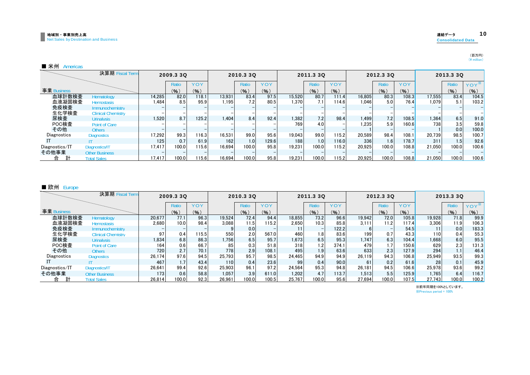#### 連結データ 10 Consolidated Data

(百万円)<br>(¥ million)

#### ■ 米州 Americas

|                | 決算期 Fiscal Term           |        | 2009.3 3Q |            |        | 2010.3 3Q        |            |        | 2011.3 3Q        |       |        | 2012.3 30 |            |        | 2013.3 3Q        |         |
|----------------|---------------------------|--------|-----------|------------|--------|------------------|------------|--------|------------------|-------|--------|-----------|------------|--------|------------------|---------|
|                |                           |        | Ratio     | <b>YOY</b> |        | Ratio            | <b>YOY</b> |        | Ratio            | YOY   |        | Ratio     | <b>YOY</b> |        | Ratio            | YOY*    |
| 事業 Business    |                           |        | (%)       | (%)        |        | (% )             | (9)        |        | (%)              | (% )  |        | (% )      | (% )       |        | (%)              | $(\% )$ |
| 血球計数検査         | Hematology                | 14,285 | 82.0      | 118.1      | 13.931 | 83.4             | 97.5       | 15.520 | 80.7             | 111.4 | 16.805 | 80.3      | 108.3      | 17.555 | 83.4             | 104.5   |
| 血液凝固検査         | <b>Hemostasis</b>         | 1,484  | 8.5       | 95.9       | 1.195  | 7.2 <sub>1</sub> | 80.5       | 1,370  | 7.1 <sub>1</sub> | 114.6 | 1.046  | 5.0       | 76.4       | 1.079  | 5.1              | 103.2   |
| 免疫検査           | Immunochemistry           |        |           |            |        |                  |            |        |                  |       |        |           |            |        |                  |         |
| 生化学検査          | <b>Clinical Chemistry</b> |        |           |            |        |                  |            |        |                  |       |        |           |            |        |                  |         |
| 尿検査            | <b>Urinalysis</b>         | 1,520  | 8.7       | 125.2      | 1,404  | 8.4              | 92.4       | 1,382  | 7.2              | 98.4  | 1.499  | 7.2       | 108.5      | 1,364  | 6.5              | 91.0    |
| POC検査          | Point of Care             |        |           |            |        |                  |            | 769    | 4.0              |       | 1.235  | 5.9       | 160.6      | 738    | 3.5              | 59.8    |
| その他            | <b>Others</b>             |        |           |            |        |                  |            |        |                  |       |        |           |            |        | 0.0              | 100.0   |
| Diagnostics    | <b>Diagnostics</b>        | 17.292 | 99.3      | 116.3      | 16.531 | 99.0             | 95.6       | 19.043 | 99.0             | 115.2 | 20.589 | 98.4      | 108.1      | 20.739 | 98.5             | 100.7   |
|                |                           | 125    | 0.7       | 61.9       | 162    | 1.0              | 129.6      | 188    | 1.0              | 116.0 | 336    | 1.6       | 178.7      | 311    | 1.5 <sub>1</sub> | 92.6    |
| Diagnostics/IT | Diagnostics/IT            | 17.417 | 100.0     | 115.6      | 16.694 | 100.0            | 95.8       | 19.231 | 100.0            | 115.2 | 20.925 | 100.0     | 108.8      | 21.050 | 100.0            | 100.6   |
| その他事業          | <b>Other Business</b>     |        |           |            |        |                  |            |        |                  |       |        |           |            |        |                  |         |
| 計<br>合         | <b>Total Sales</b>        | 17.417 | 100.0     | 115.6      | 16.694 | 100.0            | 95.8       | 19.231 | 100.0            | 115.2 | 20.925 | 100.0     | 108.8      | 21.050 | 100.0            | 100.6   |

#### ■ 欧州 Europe

|                | 決算期 Fiscal Term           |                  | 2009.3 3Q        |      |        | 2010.3 3Q |       |        | 2011.3 3Q |       |        | 2012.3 30 |       |        | 2013.3 30        |         |
|----------------|---------------------------|------------------|------------------|------|--------|-----------|-------|--------|-----------|-------|--------|-----------|-------|--------|------------------|---------|
|                |                           |                  | Ratio            | YOY  |        | Ratio     | YOY   |        | Ratio     | YOY   |        | Ratio     | YOY   |        | Ratio            | $YOY^*$ |
| 事業 Business    |                           |                  | (%)              | (% ) |        | (%)       | (9)   |        | $($ % $)$ | (96)  |        | (%)       | (% )  |        | (%)              | (% )    |
| 血球計数検査         | Hematology                | 20.677           | 77.1             | 96.3 | 19,524 | 72.4      | 94.4  | 18.855 | 73.2      | 96.6  | 19.942 | 72.0      | 105.8 | 19,928 | 71.8             | 99.9    |
| 血液凝固検査         | <b>Hemostasis</b>         | 2.680            | 10.0             | 98.4 | 3.088  | 11.5      | 115.2 | 2.650  | 10.3      | 85.8  | 3.111  | 11.2      | 117.4 | 3.306  | 11.9             | 106.3   |
| 免疫検査           | Immunochemistry           |                  |                  |      |        | 0.0       |       |        |           | 122.2 |        |           | 54.5  |        | 0.0              | 183.3   |
| 生化学検査          | <b>Clinical Chemistry</b> | 97               | 0.4              | 15.5 | 550    | 2.0       | 567.0 | 460    | 1.8       | 83.6  | 199    | 0.7       | 43.3  | 110    | 0.4              | 55.3    |
| 尿検査            | <b>Urinalysis</b>         | 1,834            | 6.8              | 86.3 | 1.756  | 6.5       | 95.7  | 1,673  | 6.5       | 95.3  | 1.747  | 6.3       | 104.4 | 1,668  | 6.0              | 95.5    |
| POC検査          | <b>Point of Care</b>      | 164              | 0.6              | 66.7 | 85     | 0.3       | 51.8  | 318    | 1.2       | 374.1 | 479    |           | 150.6 | 629    | 2.3 <sub>1</sub> | 131.3   |
| その他            | <b>Others</b>             | 720              | 2.7              | 70.1 | 778    | 2.9       | 108.1 | 495    | 1.9       | 63.6  | 633    | 2.3       | 127.9 | 294    | 1.1              | 46.4    |
| Diagnostics    | <b>Diagnostics</b>        | 26,174           | 97.6             | 94.5 | 25.793 | 95.7      | 98.5  | 24.465 | 94.9      | 94.9  | 26.119 | 94.3      | 106.8 | 25,949 | 93.5             | 99.3    |
|                |                           | 467              | 1.7 <sub>1</sub> | 43.4 | 110    | 0.4       | 23.6  | 99     | 0.4       | 90.0  | 61     | 0.2       | 61.6  | 28     | 0.1              | 45.9    |
| Diagnostics/IT | Diagnostics/IT            | 26.641           | 99.4             | 92.6 | 25.903 | 96.1      | 97.2  | 24.564 | 95.3      | 94.8  | 26.181 | 94.5      | 106.6 | 25.978 | 93.6             | 99.2    |
| その他事業          | <b>Other Business</b>     | 173 <sub>1</sub> | 0.6              | 58.8 | 1.057  | 3.9       | 611.0 | 1,202  | 4.7       | 113.7 | 1.513  | 5.5       | 125.9 | 1,765  | 6.4              | 116.7   |
| 計<br>合         | <b>Total Sales</b>        | 26.814           | 100.0            | 92.3 | 26.961 | 100.0     | 100.5 | 25.767 | 100.0     | 95.6  | 27.694 | 100.0     | 107.5 | 27.743 | 100.0            | 100.2   |

※前年同期を100%としています。

※Previous period = 100%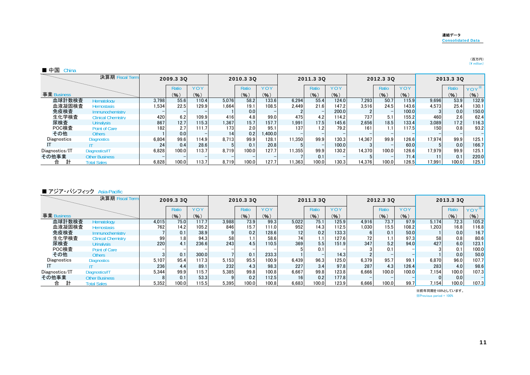#### 連結データConsolidated Data

## (百万円)<br>(¥ million)

|                | 決算期 Fiscal Term           |       | 2009.3 3Q |       |                  | 2010.3 3Q |            |        | 2011.3 30       |       |        | 2012.3 30 |       |        | 2013.3 30 |                  |
|----------------|---------------------------|-------|-----------|-------|------------------|-----------|------------|--------|-----------------|-------|--------|-----------|-------|--------|-----------|------------------|
|                |                           |       | Ratio     | YOY   |                  | Ratio     | <b>YOY</b> |        | Ratio           | YOY   |        | Ratio     | YOY   |        | Ratio     | YOY <sup>*</sup> |
| 事業 Business    |                           |       | (9)       | (96)  |                  | (9)       | (%)        |        | $\mathcal{O}_6$ | (% )  |        | (% )      | (%)   |        | (9)       | (% )             |
| 血球計数検査         | Hematology                | 3.798 | 55.6      | 110.4 | 5.076            | 58.2      | 133.6      | 6.294  | 55.4            | 124.0 | 7.293  | 50.7      | 115.9 | 9,696  | 53.9      | 132.9            |
| 血液凝固検査         | <b>Hemostasis</b>         | 1.534 | 22.5      | 129.9 | 1.664            | 19.1      | 108.5      | 2.449  | 21.6            | 147.2 | 3.516  | 24.5      | 143.6 | 4.573  | 25.4      | 130.1            |
| 免疫検査           | <b>Immunochemistry</b>    |       |           |       |                  | 0.0       |            |        |                 | 200.0 |        |           | 100.0 |        | 0.0       | 150.0            |
| 生化学検査          | <b>Clinical Chemistry</b> | 420   | 6.2       | 109.9 | 416              | 4.8       | 99.0       | 475    | 4.2             | 114.2 | 737    | 5.1       | 155.2 | 460    | 2.6       | 62.4             |
| 尿検査            | <b>Urinalysis</b>         | 867   | 12.7      | 115.3 | 1.367            | 15.7      | 157.7      | 1,991  | 17.5            | 145.6 | 2.656  | 18.5      | 133.4 | 3.089  | 17.2      | 116.3            |
| POC検査          | Point of Care             | 182   | 2.7       | 111.7 | 173 <sub>1</sub> | 2.0       | 95.1       | 137    | 1.2             | 79.2  | 161    | 1.1       | 117.5 | 150    | 0.8       | 93.2             |
| その他            | <b>Others</b>             |       | 0.0       |       | 14               | 0.2       | 1.400.0    |        |                 |       |        |           |       |        |           |                  |
| Diagnostics    | <b>Diagnostics</b>        | 6.804 | 99.6      | 114.9 | 8.713            | 99.9      | 128.1      | 11.350 | 99.9            | 130.3 | 14.367 | 99.9      | 126.6 | 17.974 | 99.9      | 125.1            |
|                |                           | 24    | 0.4       | 28.6  |                  | 0.1       | 20.8       |        |                 | 100.0 |        |           | 60.0  |        | 0.0       | 166.7            |
| Diagnostics/IT | Diagnostics/IT            | 6.828 | 100.0     | 113.7 | 8.719            | 100.0     | 127.7      | 11.355 | 99.9            | 130.2 | 14.370 | 100.0     | 126.6 | 17.979 | 99.9      | 125.1            |
| その他事業          | <b>Other Business</b>     |       |           |       |                  |           |            |        | 0.1             |       |        |           | 71.4  |        | 0.1       | 220.0            |
| 計<br>合         | <b>Total Sales</b>        | 6,828 | 100.0     | 113.7 | 8.719            | 100.0     | 127.7      | 11.363 | 100.0           | 130.3 | 14.376 | 100.0     | 126.5 | 17,991 | 100.0     | 125.1            |

#### ■ アジア・パシフィック Asia-Pacific

|                | 決算期 Fiscal Term           |       | 2009.3 3Q |       |       | 2010.3 3Q |       |                 | 2011.3 3Q |       |                 | 2012.3 30 |       |       | 2013.3 3Q    |         |
|----------------|---------------------------|-------|-----------|-------|-------|-----------|-------|-----------------|-----------|-------|-----------------|-----------|-------|-------|--------------|---------|
|                |                           |       | Ratio     | YOY   |       | Ratio     | YOY   |                 | Ratio     | YOY   |                 | Ratio     | YOY   |       | <b>Ratio</b> | $YOY^*$ |
| 事業 Business    |                           |       | (9)       | (% )  |       | (%)       | (%)   |                 | (%)       | (9)   |                 | (9)       | (% )  |       | (%)          | $\%$ )  |
| 血球計数検査         | Hematology                | 4,015 | 75.0      | 117.7 | 3.988 | 73.9      | 99.3  | 5,022           | 75.1      | 125.9 | 4.916           | 73.7      | 97.9  | 5.174 | 72.3         | 105.2   |
| 血液凝固検査         | <b>Hemostasis</b>         | 762   | 14.2      | 105.2 | 846   | 15.7      | 111.0 | 952             | 14.3      | 112.5 | 1.030           | 15.5      | 108.2 | 1.203 | 16.8         | 116.8   |
| 免疫検査           | Immunochemistry           |       | 0.1       | 38.9  |       | 0.2       | 128.6 | 12              | 0.2       | 133.3 |                 | 0.1       | 50.0  |       | 0.0          | 16.7    |
| 生化学検査          | <b>Clinical Chemistry</b> | 99    | 1.8       | 94.3  | 58    |           | 58.6  | 74              |           | 127.6 | 72 <sub>1</sub> | 1.1       | 97.3  | 58    | 0.8          | 80.6    |
| 尿検査            | <b>Urinalysis</b>         | 220   | 4.1       | 236.6 | 243   | 4.5       | 110.5 | 369             | 5.5       | 151.9 | 347             | 5.2       | 94.0  | 427   | 6.0          | 123.1   |
| POC検査          | <b>Point of Care</b>      |       |           |       |       |           |       |                 | 0.1       |       |                 | 0.1       |       |       | 0.1          | 100.0   |
| その他            | <b>Others</b>             |       | 0.1       | 300.0 |       | 0.1       | 233.3 |                 |           | 14.3  |                 |           |       |       | 0.0          | 50.0    |
| Diagnostics    | <b>Diagnostics</b>        | 5.107 | 95.4      | 117.3 | 5.153 | 95.5      | 100.9 | 6.439           | 96.3      | 125.0 | 6.379           | 95.7      | 99.1  | 6,870 | 96.0         | 107.7   |
|                |                           | 236   | 4.4       | 89.1  | 232   | 4.3       | 98.3  | 227             | 3.4       | 97.8  | 287             | 4.3       | 126.4 | 283   | 4.0          | 98.6    |
| Diagnostics/IT | Diagnostics/IT            | 5.344 | 99.9      | 15.7  | 5.385 | 99.8      | 100.8 | 6.667           | 99.8      | 123.8 | 6.666           | 100.0     | 100.0 | 7,154 | 100.0        | 107.3   |
| その他事業          | <b>Other Business</b>     |       | 0.1       | 53.3  |       | 0.2       | 112.5 | 16 <sup>1</sup> | 0.2       | 177.8 |                 |           |       |       | 0.0          |         |
| 計<br>合         | <b>Total Sales</b>        | 5.352 | 100.0     | 15.5  | 5.395 | 100.0     | 100.8 | 6,683           | 100.0     | 123.9 | 6.666           | 100.0     | 99.7  | 7,154 | 100.0        | 107.3   |

※前年同期を100%としています。 ※Previous period = 100%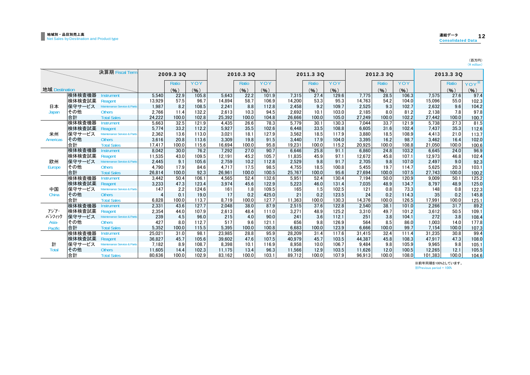| л       | в | I<br>۰.<br>- |
|---------|---|--------------|
| ٠<br>mı |   |              |

|                 |                  | 決算期 Fiscal Term                              |                | 2009.3 30  |               |            | 2010.3 3Q  |               |            | 2011.3 3Q  |                |            | 2012.3 3Q  |               |              | 2013.3 3Q   |                |
|-----------------|------------------|----------------------------------------------|----------------|------------|---------------|------------|------------|---------------|------------|------------|----------------|------------|------------|---------------|--------------|-------------|----------------|
|                 |                  |                                              |                | Ratio      | YOY           |            | Ratio      | <b>YOY</b>    |            | Ratio      | YOY            |            | Ratio      | YOY           |              | Ratio       | YOY            |
| 地域 Destination  |                  |                                              |                | (%)        | $($ % $)$     |            | (%)        | (%)           |            | (9)        | (%)            |            | (%)        | (%)           |              | (%)         | (% )           |
|                 | 検体検査機器           | <b>Instrument</b>                            | 5.540          | 22.9       | 105.8         | 5.643      | 22.2       | 101.9         | 7.315      | 27.4       | 129.6          | 7.775      | 28.5       | 106.3         | 7.575        | 27.6        | 97.4           |
|                 | 検体検査試薬           | Reagent                                      | 13,929         | 57.5       | 96.7          | 14.894     | 58.7       | 106.9         | 14.200     | 53.3       | 95.3           | 14.763     | 54.2       | 104.0         | 15,096       | 55.0        | 102.3          |
| 日本              | 保守サービス           | Maintenance Service & Parts                  | 1.987          | 8.2        | 108.5         | 2,241      | 8.8        | 112.8         | 2,458      | 9.2        | 109.7          | 2,525      | 9.3        | 102.7         | 2.632        | 9.6         | 104.2          |
| Japan           | その他              | <b>Others</b>                                | 2.766          | 11.4       | 132.2         | 2.613      | 10.3       | 94.5          | 2,692      | 10.1       | 103.0          | 2.185      | 8.0        | 81.2          | 2.138        | 7.8         | 97.8           |
|                 | 合計               | <b>Total Sales</b>                           | 24.222         | 100.0      | 102.8         | 25.392     | 100.0      | 104.8         | 26.666     | 100.0      | 105.0          | 27.249     | 100.0      | 102.2         | 27.442       | 100.0       | 100.7          |
|                 | 検体検査機器           | Instrument                                   | 5,663          | 32.5       | 121.9         | 4.435      | 26.6       | 78.3          | 5.779      | 30.1       | 130.3          | 7.044      | 33.7       | 121.9         | 5.738        | 27.3        | 81.5           |
|                 | 検体検査試薬           | Reagent                                      | 5.774          | 33.2       | 112.2         | 5,927      | 35.5       | 102.6         | 6,448      | 33.5       | 108.8          | 6,605      | 31.6       | 102.4         | 7,437        | 35.3        | 112.6          |
| 米州              | 保守サービス           | Maintenance Service & Parts                  | 2.362          | 13.6       | 113.0         | 3.021      | 18.1       | 127.9         | 3.562      | 18.5       | 117.9          | 3.880      | 18.5       | 108.9         | 4.413        | 21.0        | 113.7          |
| <b>Americas</b> | その他              | <b>Others</b>                                | 3.616          | 20.8       | 113.6         | 3.309      | 19.8       | 91.5          | 3.440      | 17.9       | 104.0          | 3.395      | 16.2       | 98.7          | 3.462        | 16.4        | 102.0          |
|                 | 合計               | <b>Total Sales</b>                           | 17.417         | 100.0      | 115.6         | 16.694     | 100.0      | 95.8          | 19.231     | 100.0      | 115.2          | 20.925     | 100.0      | 108.8         | 21.050       | 100.0       | 100.6          |
|                 | 検体検査機器           | <b>Instrument</b>                            | 8.042          | 30.0       | 76.2          | 7.292      | 27.0       | 90.7          | 6.646      | 25.8       | 91.1           | 6.860      | 24.8       | 103.2         | 6.645        | 24.0        | 96.9           |
|                 | 検体検査試薬           | Reagent                                      | 11,535         | 43.0       | 109.5         | 12,191     | 45.2       | 105.7         | 11,835     | 45.9       | 97.1           | 12,672     | 45.8       | 107.1         | 12,973       | 46.8        | 102.4          |
| 欧州              | 保守サービス           | Maintenance Service & Parts                  | 2.445          | 9.1        | 105.6         | 2.759      | 10.2       | 112.8         | 2,529      | 9.8        | 91.7           | 2.705      | 9.8        | 107.0         | 2.497        | 9.0         | 92.3           |
| Europe          | その他              | <b>Others</b>                                | 4.790          | 17.9       | 84.6          | 4.717      | 17.5       | 98.5          | 4.755      | 18.5       | 100.8          | 5.455      | 19.7       | 114.7         | 5.625        | 20.3        | 103.1          |
|                 | 合計               | <b>Total Sales</b>                           | 26,814         | 100.0      | 92.3          | 26,961     | 100.0      | 100.5         | 25,767     | 100.0      | 95.6           | 27,694     | 100.0      | 107.5         | 27.743       | 100.0       | 100.2          |
|                 | 検体検査機器           | <b>Instrument</b>                            | 3.442          | 50.4       | 106.1         | 4.565      | 52.4       | 132.6         | 5.951      | 52.4       | 130.4          | 7.194      | 50.0       | 120.9         | 9.009        | 50.1        | 125.2          |
|                 | 検体検査試薬           | Reagent                                      | 3,233          | 47.3       | 123.4         | 3.974      | 45.6       | 122.9         | 5,223      | 46.0       | 131.4          | 7.035      | 48.9       | 134.7         | 8.797        | 48.9        | 125.0          |
| 中国              | 保守サービス           | Maintenance Service & Parts                  | 147            | 2.2        | 124.6         | 161        | 1.8        | 109.5         | 165        | 1.5        | 102.5          | 121        | 0.8        | 73.3          | 148          | 0.8         | 122.3          |
| China           | その他              | <b>Others</b>                                | $\overline{4}$ | 0.1        | 19.0          | 17         | 0.2        | 425.0         | 21         | 0.2        | 123.5          | 24         | 0.2        | 114.3         | 35           | 0.2         | 145.8          |
|                 | 合計               | <b>Total Sales</b>                           | 6,828          | 100.0      | 113.7         | 8.719      | 100.0      | 127.7         | 11,363     | 100.0      | 130.3          | 14,376     | 100.0      | 126.5         | 17,991       | 100.0       | 125.1          |
|                 | 検体検査機器           | <b>Instrument</b>                            | 2.331          | 43.6       | 127.7         | 2.048      | 38.0       | 87.9          | 2,515      | 37.6       | 122.8          | 2.540      | 38.1       | 101.0         | 2.266        | 31.7        | 89.2           |
| アジア・<br>パシフィック  | 検体検査試薬<br>保守サービス | Reagent                                      | 2,354          | 44.0       | 107.9         | 2,613      | 48.4       | 111.0         | 3,271      | 48.9       | 125.2          | 3,310      | 49.7       | 101.2         | 3,612        | 50.5        | 109.1          |
| Asia-           | その他              | Maintenance Service & Parts<br><b>Others</b> | 239<br>427     | 4.5<br>8.0 | 96.0<br>112.7 | 215<br>517 | 4.0<br>9.6 | 90.0<br>121.1 | 241<br>656 | 3.6<br>9.8 | 112.1<br>126.9 | 251<br>564 | 3.8<br>8.5 | 104.1<br>86.0 | 272<br>1.003 | 3.8<br>14.0 | 108.4          |
|                 | 合計               | <b>Total Sales</b>                           | 5.352          | 100.0      | 115.5         | 5.395      | 100.0      | 100.8         | 6.683      | 100.0      | 123.9          | 6.666      | 100.0      | 99.7          | 7.154        | 100.0       | 177.8<br>107.3 |
| Pacific         | 検体検査機器           | <b>Instrument</b>                            | 25,021         | 31.0       | 98.1          | 23.985     | 28.8       | 95.9          | 28.209     | 31.4       | 117.6          | 31.415     | 32.4       | 111.4         | 31.235       | 30.8        | 99.4           |
|                 | 検体検査試薬           | Reagent                                      | 36.827         | 45.7       | 105.6         | 39.602     | 47.6       | 107.5         | 40.979     | 45.7       | 103.5          | 44.387     | 45.8       | 108.3         | 47.917       | 47.3        |                |
| 計               | 保守サービス           | Maintenance Service & Parts                  | 7,182          | 8.9        | 108.7         | 8,398      | 10.1       | 116.9         | 8,958      | 10.0       | 106.7          | 9.484      | 9.8        | 105.9         | 9,965        | 9.8         | 108.0<br>105.1 |
| <b>Total</b>    | その他              | <b>Others</b>                                | 11.605         | 14.4       | 102.3         | 11.175     | 13.4       | 96.3          | 11.566     | 12.9       | 103.5          | 11.626     | 12.0       | 100.5         | 12.265       | 12.1        | 105.5          |
|                 | 合計               | <b>Total Sales</b>                           | 80.636         | 100.0      | 102.9         | 83.162     | 100.0      | 103.1         | 89.712     | 100.0      | 107.9          | 96.913     | 100.0      | 108.0         | 101,383      | 100.0       | 104.6          |
|                 |                  |                                              |                |            |               |            |            |               |            |            |                |            |            |               |              |             |                |

※前年同期を100%としています。

※Previous period = 100%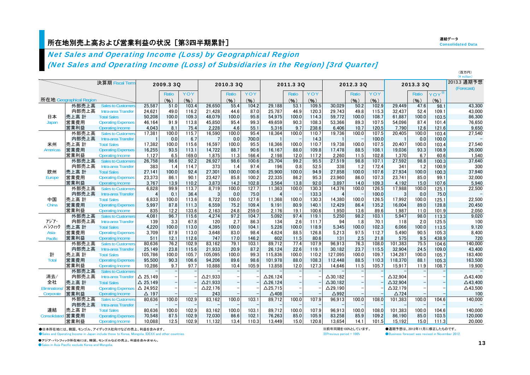## 所在地別売上高および営業利益の状況[第3四半期累計] しんしょう しょうしょう しんしょう しょうしょう こくしゅうしょう こうしょう

連結データ**Consolidated Data** 

(百万円)

# Net Sales and Operating Income (Loss) by Geographical Region

(Net Sales and Operating Income (Loss) of Subsidiaries in the Region) [3rd Quarter]

|                     |                         |                                           |                    |              |               |                 |                          |               |                 |              |                |                 |              |               |                    |              |                | $(4$ million)      |
|---------------------|-------------------------|-------------------------------------------|--------------------|--------------|---------------|-----------------|--------------------------|---------------|-----------------|--------------|----------------|-----------------|--------------|---------------|--------------------|--------------|----------------|--------------------|
|                     |                         | 決算期 Fiscal Term                           |                    | 2009.3 3Q    |               |                 | 2010.3 3Q                |               |                 | 2011.3 3Q    |                |                 | 2012.3 3Q    |               |                    | 2013.3 3Q    |                | 2013.3 通期予想        |
|                     |                         |                                           |                    |              |               |                 |                          |               |                 |              |                |                 |              |               |                    |              |                | (Forecast)         |
|                     |                         |                                           |                    | Ratio        | YOY           |                 | Ratio                    | YOY           |                 | Ratio        | YOY            |                 | Ratio        | YOY           |                    | Ratio        | YOY            |                    |
|                     | 所在地 Geographical Region |                                           |                    | (%)          | (%)           |                 | (%)                      | (%)           |                 | (%)          | (%)            |                 | (%)          | $(\% )$       |                    | (%)          | (% )           |                    |
|                     | 外部売上高                   | <b>Sales to Customers</b>                 | 25,587             | 51.0         | 103.4         | 26,650          | 55.4                     | 104.2         | 29,188          | 53.1         | 109.5          | 30,029          | 50.2         | 102.9         | 29,449             | 47.6         | 98.1           | 43,300             |
|                     | 内部売上高                   | Intra-area Transfer                       | 24,621             | 49.0         | 116.2         | 21,428          | 44.6                     | 87.0          | 25.787          | 46.9         | 120.3          | 29.743          | 49.8         | 115.3         | 32.437             | 52.4         | 109.1          | 43,000             |
| 日本                  | 売上高 計                   | <b>Total Sales</b>                        | 50,208             | 100.0        | 109.3         | 48.079          | 100.0                    | 95.8          | 54.975          | 100.0        | 114.3          | 59.772          | 100.0        | 108.7         | 61.887             | 100.0        | 103.5          | 86,300             |
| Japan               | 営業費用                    | <b>Operating Expenses</b>                 | 46.164             | 91.9         | 113.8         | 45,850          | 95.4                     | 99.3          | 49.659          | 90.3         | 108.3          | 53,366          | 89.3         | 107.5         | 54.096             | 87.4         | 101.4          | 76,650             |
|                     | 営業利益                    | <b>Operating Income</b>                   | 4.043              | 8.1          | 75.4          | 2.228           | 4.6                      | 55.1          | 5.316           | 9.7          | 238.6          | 6.406           | 10.7         | 120.5         | 7.790              | 12.6         | 121.6          | 9,650              |
|                     | 外部売上高                   | <b>Sales to Customers</b>                 | 17,381             | 100.0        | 115.7         | 16,590          | 100.0                    | 95.4          | 18.364          | 100.0        | 110.7          | 19,736          | 100.0        | 107.5         | 20.405             | 100.0        | 103.4          | 27,540             |
|                     | 内部売上高                   | Intra-area Transfer                       |                    | 0.0          | 6.7           |                 | 0.0                      | 700.0         |                 |              | 14.3           |                 |              | 100.0         |                    | 0.0          | 100.0          |                    |
| 米州                  | 売上高 計                   | <b>Total Sales</b>                        | 17,382             | 100.0        | 115.6         | 16.597          | 100.0                    | 95.5          | 18.366          | 100.0        | 110.7          | 19,738          | 100.0        | 107.5         | 20.407             | 100.0        | 103.4          | 27,540             |
| Americas            | 営業費用                    | <b>Operating Expenses</b>                 | 16,255             | 93.5         | 113.1         | 14,722          | 88.7                     | 90.6          | 16,167          | 88.0         | 109.8          | 17,478          | 88.5         | 108.1         | 19,036             | 93.3         | 108.9          | 26,000             |
|                     | 営業利益                    | <b>Operating Income</b>                   | 1,127              | 6.5          | 169.0         | 1,875           | 11.3                     | 166.4         | 2,198           | 12.0         | 117.2          | 2,260           | 11.5         | 102.8         | 1.370              | 6.7          | 60.6           | 1,540              |
|                     | 外部売上高                   | <b>Sales to Customers</b>                 | 26,758             | 98.6         | 92.2          | 26,927          | 98.6                     | 100.6         | 25,704          | 99.2         | 95.5           | 27,519          | 98.8         | 107.1         | 27,592             | 98.8         | 100.3          | 37,640             |
|                     | 内部売上高                   | Intra-area Transfer                       | 383                | 1.4          | 114.7         | 373             | 1.4                      | 97.4          | 196             | 0.8          | 52.5           | 338             | 1.2          | 172.4         | 341                | 1.2          | 100.9          | 300                |
| 欧州                  | 売上高 計                   | <b>Total Sales</b>                        | 27,141             | 100.0        | 92.4          | 27,301          | 100.0                    | 100.6         | 25,900          | 100.0        | 94.9           | 27,858          | 100.0        | 107.6         | 27,934             | 100.0        | 100.3          | 37,940             |
| Europe              | 営業費用                    | <b>Operating Expenses</b>                 | 23.373             | 86.1         | 90.1          | 23.427          | 85.8                     | 100.2         | 22.335          | 86.2         | 95.3           | 23.960          | 86.0         | 107.3         | 23.741             | 85.0         | 99.1           | 32.000             |
|                     | 営業利益                    | Operating Income                          | 3.767              | 13.9         | 110.2         | 3.873           | 14.2                     | 102.8         | 3.564           | 13.8         | 92.0           | 3.897           | 14.0         | 109.3         | 4.192              | 15.0         | 107.6          | 5,940              |
|                     | 外部売上高                   | <b>Sales to Customers</b>                 | 6,828              | 99.9         | 113.7         | 8.719           | 100.0                    | 127.7         | 11,363          | 100.0        | 130.3          | 14,376          | 100.0        | 126.5         | 17,988             | 100.0        | 125.1          | 22,500             |
|                     | 内部売上高                   | Intra-area Transfer                       | 4                  | 0.1          | 36.4          | 3               | 0.0                      | 75.0          | $\overline{4}$  |              | 133.3          | $\overline{4}$  |              | 100.0         | 3                  | 0.0          | 75.0           |                    |
| 中国                  | 売上高 計                   | <b>Total Sales</b>                        | 6,833              | 100.0        | 113.6         | 8.722           | 100.0                    | 127.6         | 11.368          | 100.0        | 130.3          | 14,380          | 100.0        | 126.5         | 17.992             | 100.0        | 125.1          | 22,500             |
| China               | 営業費用                    | <b>Operating Expenses</b>                 | 5,997              | 87.8         | 111.3         | 6,559           | 75.2                     | 109.4         | 9,191           | 80.9         | 140.1          | 12,429          | 86.4         | 135.2         | 16,004             | 89.0         | 128.8          | 20,450             |
|                     | 営業利益                    | <b>Operating Income</b>                   | 835                | 12.2         | 133.6         | 2,163           | 24.8                     | 259.0         | 2,176           | 19.1         | 100.6          | 1.950           | 13.6         | 89.6          | 1.987              | 11.0         | 101.9          | 2,050              |
| アジア・                | 外部売上高                   | <b>Sales to Customers</b>                 | 4,081              | 96.7         | 115.6         | 4,274           | 97.2                     | 104.7         | 5,092           | 97.4         | 119.1          | 5,250           | 98.2         | 103.1         | 5,947              | 98.0         | 113.3          | 9,020              |
| パシフィック              | 内部売上高<br>売上高 計          | Intra-area Transfer<br><b>Total Sales</b> | 139<br>4,220       | 3.3<br>100.0 | 67.8<br>113.0 | 120<br>4,395    | 2.7<br>100.0             | 86.3<br>104.1 | 134<br>5,226    | 2.6<br>100.0 | 111.7<br>118.9 | 94<br>5,345     | 1.8<br>100.0 | 70.1<br>102.3 | 118<br>6.066       | 2.0<br>100.0 | 125.5          | 100<br>9,120       |
| Asia-               | 営業費用                    | <b>Operating Expenses</b>                 | 3,709              | 87.9         | 113.0         | 3,648           | 83.0                     | 98.4          | 4.624           | 88.5         | 126.8          | 5,213           | 97.5         | 112.7         | 5.490              | 90.5         | 113.5<br>105.3 | 8,400              |
| Pacific             | 営業利益                    | Operating Income                          | 511                | 12.1         | 112.6         | 747             | 17.0                     | 146.2         | 602             | 11.5         | 80.6           | 131             | 2.5          | 21.8          | 575                | 9.5          | 438.9          | 720                |
|                     | 外部売上高                   | <b>Sales to Customers</b>                 | 80,636             | 76.2         | 102.9         | 83.162          | 79.1                     | 103.1         | 89.712          | 77.4         | 107.9          | 96.913          | 76.3         | 108.0         | 101.383            | 75.5         | 104.6          | 140,000            |
|                     | 内部売上高                   | Intra-area Transfer                       | 25.149             | 23.8         | 115.6         | 21.933          | 20.9                     | 87.2          | 26.124          | 22.6         | 119.1          | 30.182          | 23.7         | 115.5         | 32.904             | 24.5         | 109.0          | 43,400             |
| 計                   | 売上高 計                   | <b>Total Sales</b>                        | 105.786            | 100.0        | 105.7         | 105,095         | 100.0                    | 99.3          | 115.836         | 100.0        | 110.2          | 127.095         | 100.0        | 109.7         | 134,287            | 100.0        | 105.7          | 183,400            |
| <b>Total</b>        | 営業費用                    | <b>Operating Expenses</b>                 | 95.500             | 90.3         | 106.6         | 94,206          | 89.6                     | 98.6          | 101.978         | 88.0         | 108.3          | 112.448         | 88.5         | 110.3         | 118.370            | 88.1         | 105.3          | 163,500            |
|                     | 営業利益                    | <b>Operating Income</b>                   | 10.286             | 9.7          | 97.7          | 10.888          | 10.4                     | 105.9         | 13.858          | 12.0         | 127.3          | 14.646          | 11.5         | 105.7         | 15,917             | 11.9         | 108.7          | 19,900             |
|                     | 外部売上高                   | <b>Sales to Customers</b>                 |                    |              |               |                 |                          |               |                 |              |                |                 |              |               |                    |              |                |                    |
| 消去/                 | 内部売上高                   | Intra-area Transfer                       | $\triangle$ 25.149 |              |               | $\Delta$ 21,933 |                          |               | $\Delta$ 26,124 |              |                | $\Delta$ 30.182 |              |               | $\triangle$ 32,904 |              |                | $\triangle$ 43,400 |
| 全社                  | 売上高 計                   | <b>Total Sales</b>                        | $\triangle$ 25,149 |              |               | $\Delta$ 21,933 | $\overline{\phantom{a}}$ |               | $\Delta$ 26,124 |              |                | $\Delta$ 30,182 |              |               | $\triangle$ 32,904 |              |                | $\triangle$ 43,400 |
| <b>Eliminations</b> | 営業費用                    | <b>Operating Expenses</b>                 | △ 24,952           |              |               | $\Delta$ 22,176 |                          |               | $\Delta$ 25,715 |              |                | $\Delta$ 29,190 |              |               | $\Delta$ 32,179    |              |                | $\triangle$ 43,500 |
| Corporate           | 営業利益                    | Operating Income                          | $\Delta$ 197       |              |               | 243             |                          |               | $\triangle$ 408 |              |                | $\triangle$ 992 |              |               | $\triangle$ 724    |              |                | 100                |
|                     | 外部売上高                   | <b>Sales to Customers</b>                 | 80.636             | 100.0        | 102.9         | 83.162          | 100.0                    | 103.1         | 89.712          | 100.0        | 107.9          | 96,913          | 100.0        | 108.0         | 101,383            | 100.0        | 104.6          | 140,000            |
|                     | 内部売上高                   | Intra-area Transfer                       |                    |              |               |                 |                          |               |                 |              |                |                 |              |               |                    |              |                |                    |
| 連結                  | 売上高 計                   | <b>Total Sales</b>                        | 80,636             | 100.0        | 102.9         | 83,162          | 100.0                    | 103.1         | 89.712          | 100.0        | 107.9          | 96.913          | 100.0        | 108.0         | 101.383            | 100.0        | 104.6          | 140,000            |
| Consolidated        | 営業費用                    | <b>Operating Expenses</b>                 | 70,548             | 87.5         | 102.9         | 72,030          | 86.6                     | 102.1         | 76,263          | 85.0         | 105.9          | 83,258          | 85.9         | 109.2         | 86,190             | 85.0         | 103.5          | 120,000            |
|                     | 営業利益                    | <b>Operating Income</b>                   | 10.088             | 12.5         | 102.9         | 11.132          | 13.4                     | 110.3         | 13.449          | 15.0         | 120.8          | 13.654          | 14.1         | 101.5         | 15.192             | 15.0         | 111.3          | 20,000             |

●日本所在地には、韓国、モンゴル、アイデックス社向けなどの売上、利益を含みます。 ●Sales and Operating Income in Japan include those to Korea, Mongolia, IDEXX and other countries.

※前年同期を100%としています。 ●通期予想は、2012年11月に修正したものです。 ※Previous period = 100% ●Business forecast was revised in November 2012.

●アジア・パシフィック所在地には 韓国 モンゴルなどの売上 利益を含みません <sup>13</sup> ●アジア・パシフィック所在地には、韓国、モンゴルなどの売上、利益を含みません。 ●Sales in Asia Pacific exclude Korea and Mongolia.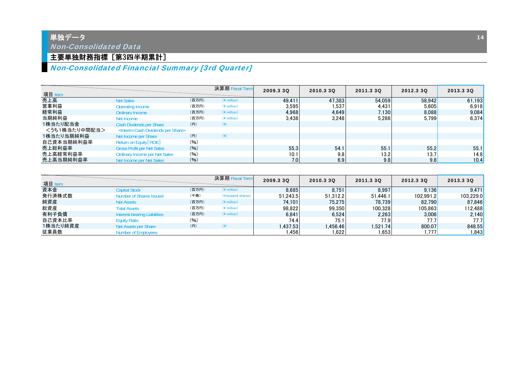# ー<br>単独デー<u>タ</u>

Non-Consolidated Data

## 主要単独財務指標 [第3四半期累計]

# Non-Consolidated Financial Summary [3rd Quarter]

| 項目 Item       |                                                          |       | 決算期 Fiscal Term       | 2009.3 30 | 2010.3 3Q | 2011.3 30 | 2012.3 30 | 2013.3 30 |
|---------------|----------------------------------------------------------|-------|-----------------------|-----------|-----------|-----------|-----------|-----------|
| 売上高           | <b>Net Sales</b>                                         | (百万円) | $(*$ million)         | 49.411    | 47.383    | 54.059    | 58.942    | 61.193    |
| 営業利益          | Operating Income                                         | (百万円) | $(*$ million)         | 3,595     | 1.537     | 4.431     | 5.605     | 6,918     |
| 経常利益          | Ordinary Income                                          | (百万円) | $(*$ million)         | 4.968     | 4.649     | 7.130     | 8.088     | 9.084     |
| 当期純利益         | Net Income                                               | (百万円) | $(Y \text{ million})$ | 3.438     | 3.248     | 5.288     | 5.799     | 6.374     |
| 1株当たり配当金      | Cash Divdends per Share                                  | (円)   | $(\yen)$              |           |           |           |           |           |
| <うち1株当たり中間配当> | <interim cash="" dividends="" per="" share=""></interim> |       |                       |           |           |           |           |           |
| 1株当たり当期純利益    | Net Income per Share                                     | (円)   | $(\dagger)$           |           |           |           |           |           |
| 自己資本当期純利益率    | Return on Equity [ROE]                                   | (96)  |                       |           |           |           |           |           |
| 売上総利益率        | <b>Gross Profit per Net Sales</b>                        | (9/6) |                       | 55.3      | 54.1      | 55.1      | 55.2      | 55.1      |
| 売上高経常利益率      | Ordinary Income per Net Sales                            | (96)  |                       | 10.1      | 9.8       | 13.2      | 13.7      | 14.8      |
| 売上高当期純利益率     | Net Income per Net Sales                                 | (96)  |                       | 7.0       | 6.9       | 9.8       | 9.8       | 10.4      |

| 項目 Item  |                                |       | 決算期 Fiscal Term    | 2009.3 30 | 2010.3 30 | 2011.3 30 | 2012.3 30      | 2013.3 30     |
|----------|--------------------------------|-------|--------------------|-----------|-----------|-----------|----------------|---------------|
| 資本金      | <b>Capital Stock</b>           | (百万円) | $(*$ million)      | 8.685     | 8.751     | 8.997     | 9.136          | 9.471         |
| 発行済株式数   | <b>Number of Shares Issued</b> | (千株)  | (thousand shares)  | 51.243.5  | 51.312.2  | 51.446.1  | 102.991.2      | 103.229.0     |
| 純資産      | <b>Net Assets</b>              | (百万円) | $(*$ million)      | 74.101    | 75.275    | 78.739    | 82.790         | 87,846        |
| 総資産      | <b>Total Assets</b>            | (百万円) | $(*$ million)      | 98.822    | 99.350    | 100.328   | 105.863        | 112.488       |
| 有利子負債    | Interest-bearing Liabilities   | (百万円) | $(*$ million)      | 6,841     | 6,524     | 2,263     | 3.006          | 2.140         |
| 自己資本比率   | <b>Equity Ratio</b>            | (96)  |                    | 74.4      | 75.1      | 77.9      | 77.7I          | 77.7 <b>1</b> |
| 1株当たり純資産 | Net Assets per Share           | (円)   | $(\divideontimes)$ | 1.437.53  | .456.46   | 1.521.74  | 800.07         | 848.55        |
| 従業員数     | Number of Employees            |       |                    | . 456     | 1.622     | .653      | 1.777 <b>l</b> | .843          |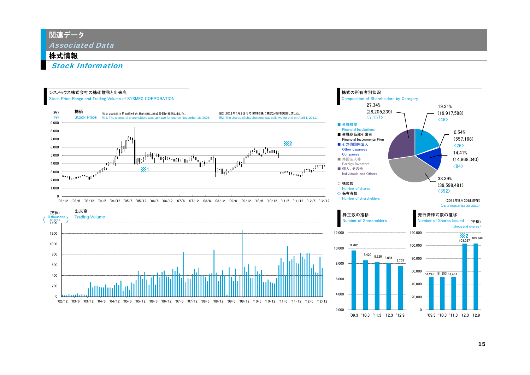関連データ

Associated Data

## 株式情報

Stock Information



'09.3 '10.3 '11.3 '12.3 '12.9

'09.3 '10.3 '11.3 '12.3 '12.9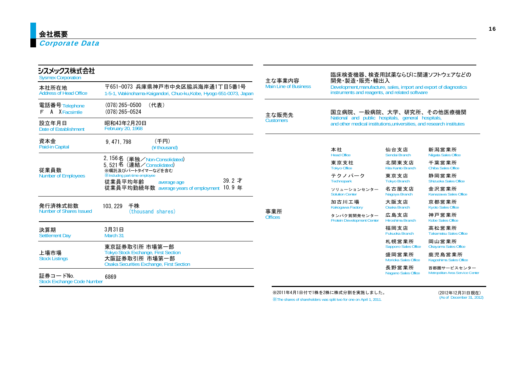### Corporate Data

| シスメックス株式会社<br><b>Sysmex Corporation</b>       |                                                                                                       | 主な事業内容                       | 臨床検査機器、検査用試薬ならびに関連ソフトウェアなどの<br>開発・製造・販売・輸出入<br>Development, manufacture, sales, import and export of diagnostics<br>instruments and reagents, and related software |                                      |                                                 |  |  |
|-----------------------------------------------|-------------------------------------------------------------------------------------------------------|------------------------------|--------------------------------------------------------------------------------------------------------------------------------------------------------------------|--------------------------------------|-------------------------------------------------|--|--|
| 本社所在地<br><b>Address of Head Office</b>        | 〒651-0073 兵庫県神戸市中央区脇浜海岸通1丁目5番1号<br>1-5-1, Wakinohama-Kaigandori, Chuo-ku, Kobe, Hyogo 651-0073, Japan | <b>Main Line of Business</b> |                                                                                                                                                                    |                                      |                                                 |  |  |
| 電話番号 Telephone<br><b>F</b> A XFacsimile       | $(078)$ 265-0500<br>(代表)<br>$(078)$ 265-0524                                                          | 主な販売先                        | 国立病院、一般病院、大学、研究所、その他医療機関                                                                                                                                           |                                      |                                                 |  |  |
| 設立年月日<br>Date of Establishment                | 昭和43年2月20日<br>February 20, 1968                                                                       | <b>Customers</b>             | National and public hospitals, general hospitals,<br>and other medical institutions, universities, and research institutes                                         |                                      |                                                 |  |  |
| 資本金<br>Paid-in Capital                        | (千円)<br>9, 471, 798<br>(¥ thousand)                                                                   |                              | 本社<br><b>Head Office</b>                                                                                                                                           | 仙台支店<br>Sendai Branch                | 新潟営業所<br>Niigata Sales Office                   |  |  |
| 従業員数                                          | 2,156名 (単独/Non-Consolidated)<br>5.521名 (連結/Consolidated)<br>※嘱託及びパートタイマーなどを含む                         |                              | 東京支社<br><b>Tokyo Office</b>                                                                                                                                        | 北関東支店<br>Kita Kanto Branch           | 千葉営業所<br>Chiba Sales Office                     |  |  |
| <b>Number of Employees</b>                    | <b>XIncluding part-time employee</b><br>$39.2 \, \pm \,$<br>従業員平均年齢<br>average age                    |                              | テクノパーク<br>Technopark                                                                                                                                               | 東京支店<br><b>Tokyo Branch</b>          | 静岡営業所<br>Shizuoka Sales Office                  |  |  |
|                                               | 10.9年<br>従業員平均勤続年数 average years of employment                                                        |                              | ソリューションセンター<br><b>Solution Center</b>                                                                                                                              | 名古屋支店<br>Nagoya Branch               | 金沢営業所<br>Kanazawa Sales Office                  |  |  |
| 発行済株式総数                                       | 103, 229<br>千株                                                                                        |                              | 加古川工場<br>Kakogawa Factory                                                                                                                                          | 大阪支店<br>Osaka Branch                 | 京都営業所<br><b>Kyoto Sales Office</b>              |  |  |
| Number of Shares Issued                       | (thousand shares)                                                                                     | 事業所<br><b>Offices</b>        | タンパク質開発センター<br><b>Protein Development Center</b>                                                                                                                   | 広島支店<br>Hiroshima Branch             | 神戸営業所<br><b>Kobe Sales Office</b>               |  |  |
| 決算期<br>Settlement Day                         | 3月31日<br>March 31                                                                                     |                              |                                                                                                                                                                    | 福岡支店<br><b>Fukuoka Branch</b>        | 高松営業所<br><b>Takamatsu Sales Office</b>          |  |  |
| 上場市場<br><b>Stock Listings</b>                 | 東京証券取引所 市場第一部                                                                                         |                              |                                                                                                                                                                    | 札幌営業所<br><b>Sapporo Sales Office</b> | 岡山営業所<br>Okayama Sales Office                   |  |  |
|                                               | <b>Tokyo Stock Exchange, First Section</b><br>大阪証券取引所 市場第一部                                           |                              |                                                                                                                                                                    | 盛岡営業所<br>Morioka Sales Office        | 鹿児島営業所<br>Kagoshima Sales Office                |  |  |
| 証券コードNo.<br><b>Stock Exchange Code Number</b> | Osaka Securities Exchange, First Section<br>6869                                                      |                              |                                                                                                                                                                    | 長野営業所<br>Nagano Sales Office         | 首都圏サービスセンター<br>Metropolitan Area Service Center |  |  |

※2011年4月1日付で1株を2株に株式分割を実施しました。

※The shares of shareholders was split two for one on April 1, 2011.

(2012年12月31日現在) (As of December 31, 2012)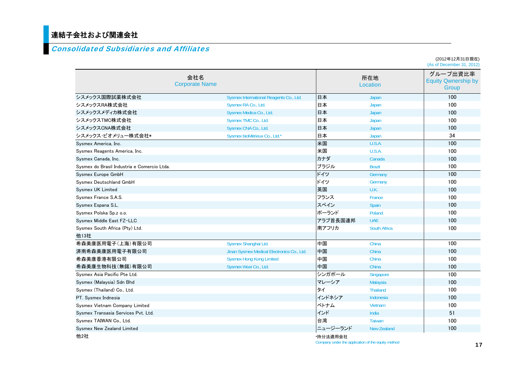# 連結子会社および関連会社

### Consolidated Subsidiaries and Affiliates

|                                             |                              |                                            |          |                     | (2012年12月31日現在)<br>(As of December 31, 2012)    |
|---------------------------------------------|------------------------------|--------------------------------------------|----------|---------------------|-------------------------------------------------|
|                                             | 会社名<br><b>Corporate Name</b> |                                            |          | 所在地<br>Location     | グループ出資比率<br><b>Equity Qwnership by</b><br>Group |
| シスメックス国際試薬株式会社                              |                              | Sysmex International Reagents Co., Ltd.    | 日本       | Japan               | 100                                             |
| シスメックスRA株式会社                                |                              | Sysmex RA Co., Ltd.                        | 日本       | Japan               | 100                                             |
| シスメックスメディカ株式会社                              |                              | Sysmex Medica Co., Ltd.                    | 日本       | Japan               | 100                                             |
| シスメックスTMC株式会社                               |                              | Sysmex TMC Co., Ltd.                       | 日本       | Japan               | 100                                             |
| シスメックスCNA株式会社                               |                              | Sysmex CNA Co., Ltd.                       | 日本       | Japan               | 100                                             |
| シスメックス・ビオメリュー株式会社*                          |                              | Sysmex bioMérieux Co., Ltd.*               | 日本       | Japan               | 34                                              |
| Sysmex America, Inc.                        |                              |                                            | 米国       | U.S.A.              | 100                                             |
| Sysmex Reagents America, Inc.               |                              |                                            | 米国       | U.S.A.              | 100                                             |
| Sysmex Canada, Inc.                         |                              |                                            | カナダ      | Canada              | 100                                             |
| Sysmex do Brasil Industria e Comercio Ltda. |                              |                                            | ブラジル     | <b>Brazil</b>       | 100                                             |
| Sysmex Europe GmbH                          |                              |                                            | ドイツ      | Germany             | 100                                             |
| Sysmex Deutschland GmbH                     |                              |                                            | ドイツ      | Germany             | 100                                             |
| Sysmex UK Limited                           |                              |                                            | 英国       | U.K.                | 100                                             |
| Sysmex France S.A.S.                        |                              |                                            | フランス     | France              | 100                                             |
| Sysmex Espana S.L.                          |                              |                                            | スペイン     | Spain               | 100                                             |
| Sysmex Polska Sp.z o.o.                     |                              |                                            | ポーランド    | Poland              | 100                                             |
| Sysmex Middle East FZ-LLC                   |                              |                                            | アラブ首長国連邦 | <b>UAE</b>          | 100                                             |
| Sysmex South Africa (Pty) Ltd.              |                              |                                            | 南アフリカ    | <b>South Africa</b> | 100                                             |
| 他13社                                        |                              |                                            |          |                     |                                                 |
| 希森美康医用電子(上海)有限公司                            |                              | Sysmex Shanghai Ltd.                       | - 中国     | China               | 100                                             |
| 済南希森美康医用雷子有限公司                              |                              | Jinan Sysmex Medical Electronics Co., Ltd. | 中国       | China               | 100                                             |
| 希森美康香港有限公司                                  |                              | <b>Sysmex Hong Kong Limited</b>            | 中国       | China               | 100                                             |
| 希森美康生物科技(無錫)有限公司                            |                              | Sysmex Wuxi Co., Ltd.                      | 中国       | China               | 100                                             |
| Sysmex Asia Pacific Pte Ltd.                |                              |                                            | シンガポール   | Singapore           | 100                                             |
| Sysmex (Malaysia) Sdn Bhd                   |                              |                                            | マレーシア    | Malaysia            | 100                                             |
| Sysmex (Thailand) Co., Ltd.                 |                              |                                            | タイ       | <b>Thailand</b>     | 100                                             |
| PT. Sysmex Indnesia                         |                              |                                            | インドネシア   | Indonesia           | 100                                             |
| Sysmex Vietnam Company Limited              |                              |                                            | ベトナム     | Vietnam             | 100                                             |
| Sysmex Transasia Services Pvt. Ltd.         |                              |                                            | インド      | India               | 51                                              |
| Sysmex TAIWAN Co., Ltd.                     |                              |                                            | 台湾       | <b>Taiwan</b>       | 100                                             |
| Sysmex New Zealand Limited                  |                              |                                            | ニュージーランド | <b>New Zealand</b>  | 100                                             |
| 他2社                                         |                              |                                            | *持分法適用会社 |                     |                                                 |

Company under the application of the equity method